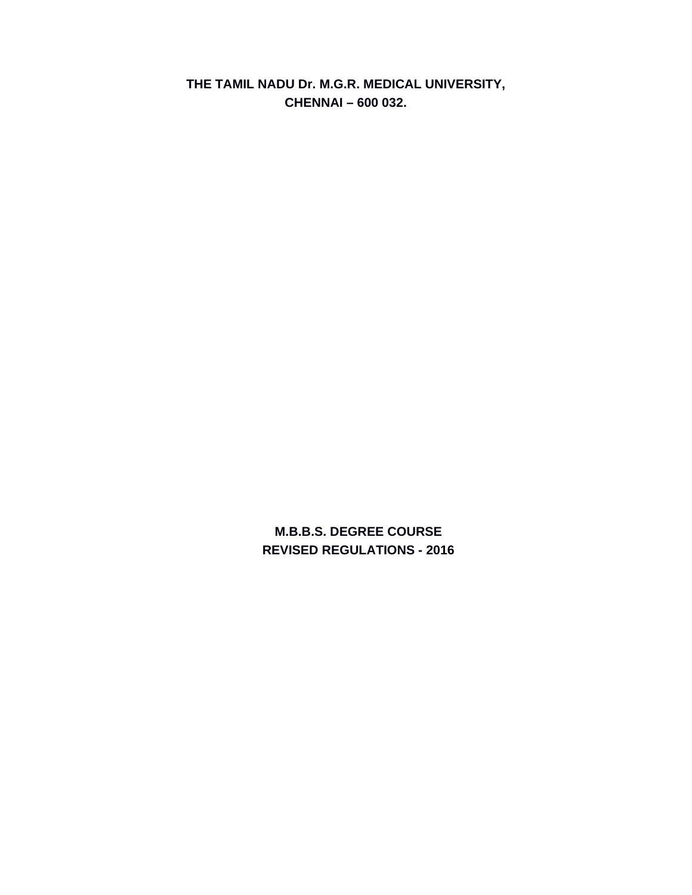**THE TAMIL NADU Dr. M.G.R. MEDICAL UNIVERSITY, CHENNAI – 600 032.** 

> **M.B.B.S. DEGREE COURSE REVISED REGULATIONS - 2016**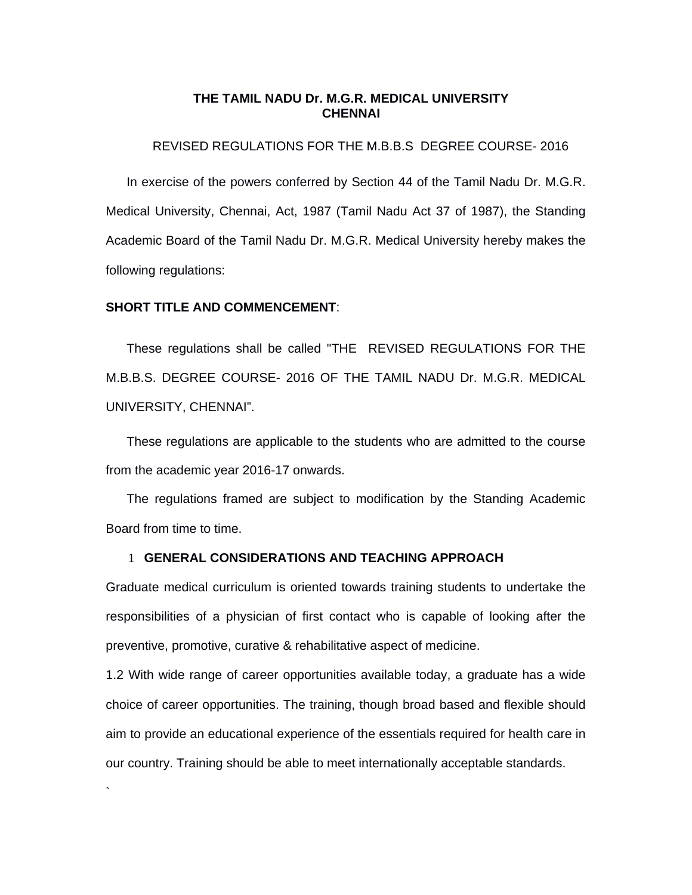## **THE TAMIL NADU Dr. M.G.R. MEDICAL UNIVERSITY CHENNAI**

# REVISED REGULATIONS FOR THE M.B.B.S DEGREE COURSE- 2016

In exercise of the powers conferred by Section 44 of the Tamil Nadu Dr. M.G.R. Medical University, Chennai, Act, 1987 (Tamil Nadu Act 37 of 1987), the Standing Academic Board of the Tamil Nadu Dr. M.G.R. Medical University hereby makes the following regulations:

#### **SHORT TITLE AND COMMENCEMENT**:

`

These regulations shall be called "THE REVISED REGULATIONS FOR THE M.B.B.S. DEGREE COURSE- 2016 OF THE TAMIL NADU Dr. M.G.R. MEDICAL UNIVERSITY, CHENNAI".

These regulations are applicable to the students who are admitted to the course from the academic year 2016-17 onwards.

The regulations framed are subject to modification by the Standing Academic Board from time to time.

#### 1 **GENERAL CONSIDERATIONS AND TEACHING APPROACH**

Graduate medical curriculum is oriented towards training students to undertake the responsibilities of a physician of first contact who is capable of looking after the preventive, promotive, curative & rehabilitative aspect of medicine.

1.2 With wide range of career opportunities available today, a graduate has a wide choice of career opportunities. The training, though broad based and flexible should aim to provide an educational experience of the essentials required for health care in our country. Training should be able to meet internationally acceptable standards.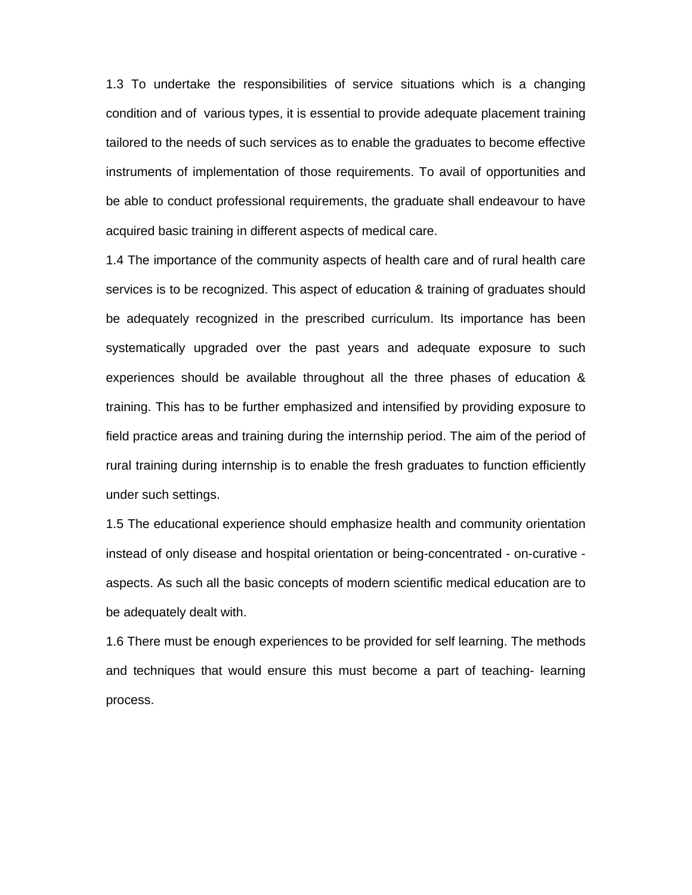1.3 To undertake the responsibilities of service situations which is a changing condition and of various types, it is essential to provide adequate placement training tailored to the needs of such services as to enable the graduates to become effective instruments of implementation of those requirements. To avail of opportunities and be able to conduct professional requirements, the graduate shall endeavour to have acquired basic training in different aspects of medical care.

1.4 The importance of the community aspects of health care and of rural health care services is to be recognized. This aspect of education & training of graduates should be adequately recognized in the prescribed curriculum. Its importance has been systematically upgraded over the past years and adequate exposure to such experiences should be available throughout all the three phases of education & training. This has to be further emphasized and intensified by providing exposure to field practice areas and training during the internship period. The aim of the period of rural training during internship is to enable the fresh graduates to function efficiently under such settings.

1.5 The educational experience should emphasize health and community orientation instead of only disease and hospital orientation or being-concentrated - on-curative aspects. As such all the basic concepts of modern scientific medical education are to be adequately dealt with.

1.6 There must be enough experiences to be provided for self learning. The methods and techniques that would ensure this must become a part of teaching- learning process.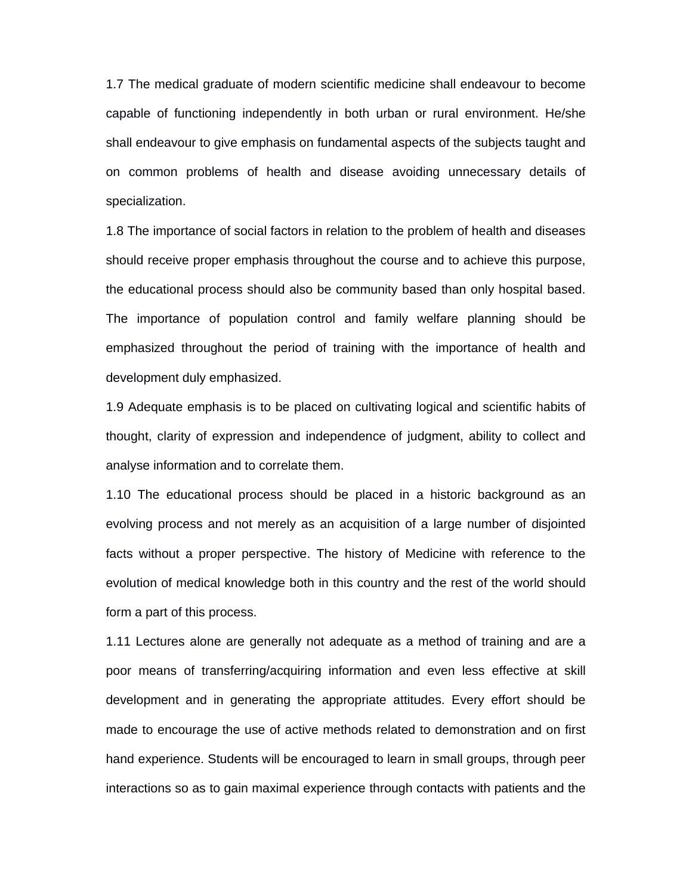1.7 The medical graduate of modern scientific medicine shall endeavour to become capable of functioning independently in both urban or rural environment. He/she shall endeavour to give emphasis on fundamental aspects of the subjects taught and on common problems of health and disease avoiding unnecessary details of specialization.

1.8 The importance of social factors in relation to the problem of health and diseases should receive proper emphasis throughout the course and to achieve this purpose, the educational process should also be community based than only hospital based. The importance of population control and family welfare planning should be emphasized throughout the period of training with the importance of health and development duly emphasized.

1.9 Adequate emphasis is to be placed on cultivating logical and scientific habits of thought, clarity of expression and independence of judgment, ability to collect and analyse information and to correlate them.

1.10 The educational process should be placed in a historic background as an evolving process and not merely as an acquisition of a large number of disjointed facts without a proper perspective. The history of Medicine with reference to the evolution of medical knowledge both in this country and the rest of the world should form a part of this process.

1.11 Lectures alone are generally not adequate as a method of training and are a poor means of transferring/acquiring information and even less effective at skill development and in generating the appropriate attitudes. Every effort should be made to encourage the use of active methods related to demonstration and on first hand experience. Students will be encouraged to learn in small groups, through peer interactions so as to gain maximal experience through contacts with patients and the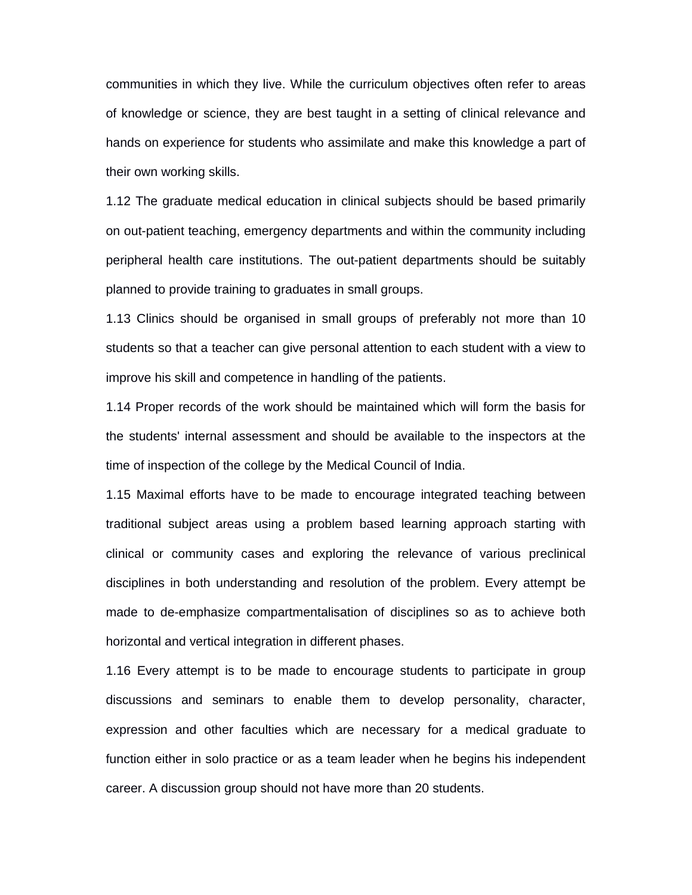communities in which they live. While the curriculum objectives often refer to areas of knowledge or science, they are best taught in a setting of clinical relevance and hands on experience for students who assimilate and make this knowledge a part of their own working skills.

1.12 The graduate medical education in clinical subjects should be based primarily on out-patient teaching, emergency departments and within the community including peripheral health care institutions. The out-patient departments should be suitably planned to provide training to graduates in small groups.

1.13 Clinics should be organised in small groups of preferably not more than 10 students so that a teacher can give personal attention to each student with a view to improve his skill and competence in handling of the patients.

1.14 Proper records of the work should be maintained which will form the basis for the students' internal assessment and should be available to the inspectors at the time of inspection of the college by the Medical Council of India.

1.15 Maximal efforts have to be made to encourage integrated teaching between traditional subject areas using a problem based learning approach starting with clinical or community cases and exploring the relevance of various preclinical disciplines in both understanding and resolution of the problem. Every attempt be made to de-emphasize compartmentalisation of disciplines so as to achieve both horizontal and vertical integration in different phases.

1.16 Every attempt is to be made to encourage students to participate in group discussions and seminars to enable them to develop personality, character, expression and other faculties which are necessary for a medical graduate to function either in solo practice or as a team leader when he begins his independent career. A discussion group should not have more than 20 students.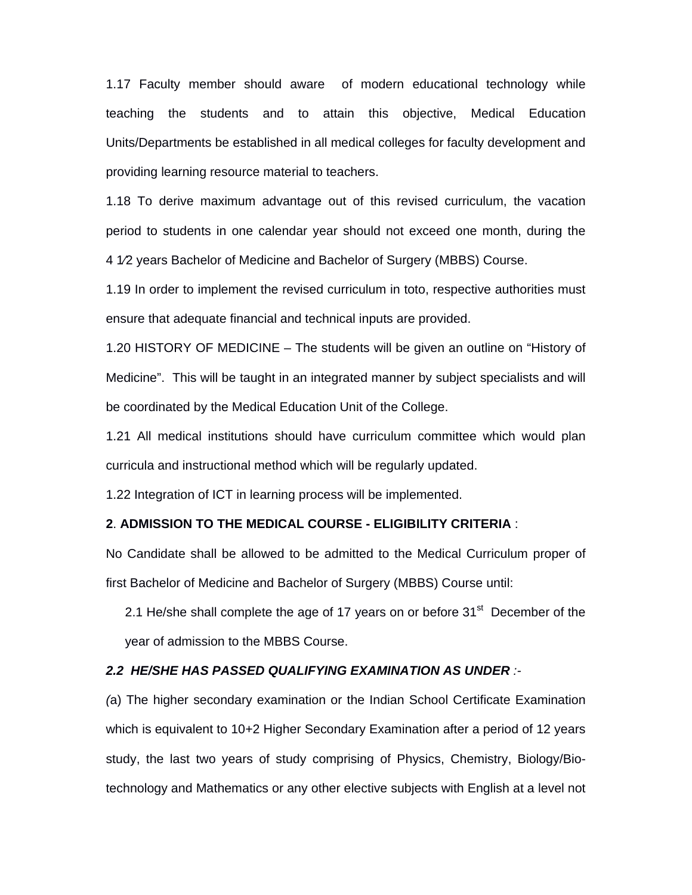1.17 Faculty member should aware of modern educational technology while teaching the students and to attain this objective, Medical Education Units/Departments be established in all medical colleges for faculty development and providing learning resource material to teachers.

1.18 To derive maximum advantage out of this revised curriculum, the vacation period to students in one calendar year should not exceed one month, during the 4 1⁄2 years Bachelor of Medicine and Bachelor of Surgery (MBBS) Course.

1.19 In order to implement the revised curriculum in toto, respective authorities must ensure that adequate financial and technical inputs are provided.

1.20 HISTORY OF MEDICINE – The students will be given an outline on "History of Medicine". This will be taught in an integrated manner by subject specialists and will be coordinated by the Medical Education Unit of the College.

1.21 All medical institutions should have curriculum committee which would plan curricula and instructional method which will be regularly updated.

1.22 Integration of ICT in learning process will be implemented.

# **2**. **ADMISSION TO THE MEDICAL COURSE - ELIGIBILITY CRITERIA** :

No Candidate shall be allowed to be admitted to the Medical Curriculum proper of first Bachelor of Medicine and Bachelor of Surgery (MBBS) Course until:

2.1 He/she shall complete the age of 17 years on or before  $31<sup>st</sup>$  December of the year of admission to the MBBS Course.

# *2.2 HE/SHE HAS PASSED QUALIFYING EXAMINATION AS UNDER :-*

*(*a) The higher secondary examination or the Indian School Certificate Examination which is equivalent to 10+2 Higher Secondary Examination after a period of 12 years study, the last two years of study comprising of Physics, Chemistry, Biology/Biotechnology and Mathematics or any other elective subjects with English at a level not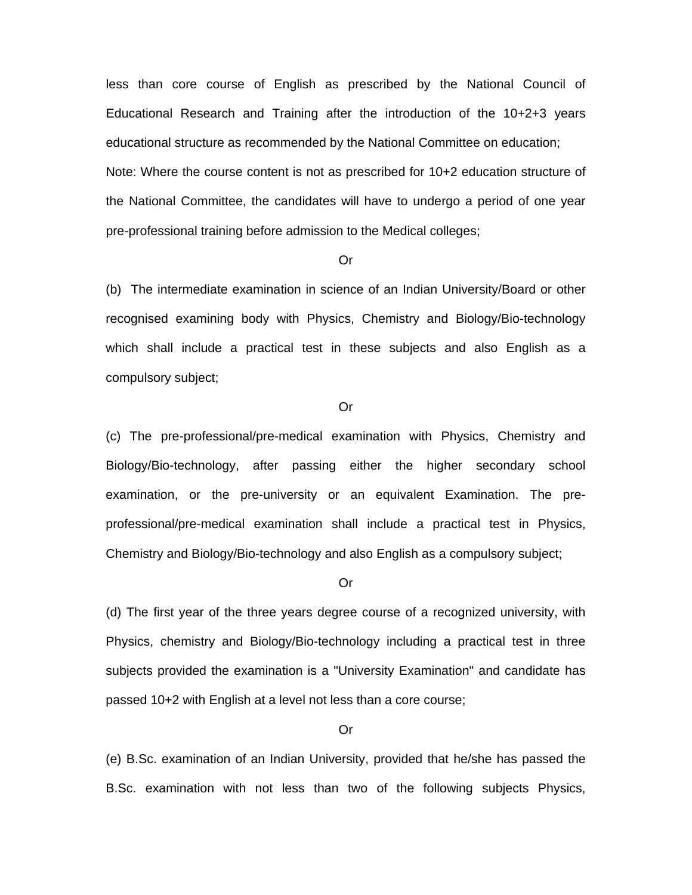less than core course of English as prescribed by the National Council of Educational Research and Training after the introduction of the 10+2+3 years educational structure as recommended by the National Committee on education; Note: Where the course content is not as prescribed for 10+2 education structure of the National Committee, the candidates will have to undergo a period of one year pre-professional training before admission to the Medical colleges;

#### Or

(b) The intermediate examination in science of an Indian University/Board or other recognised examining body with Physics, Chemistry and Biology/Bio-technology which shall include a practical test in these subjects and also English as a compulsory subject;

#### Or

(c) The pre-professional/pre-medical examination with Physics, Chemistry and Biology/Bio-technology, after passing either the higher secondary school examination, or the pre-university or an equivalent Examination. The preprofessional/pre-medical examination shall include a practical test in Physics, Chemistry and Biology/Bio-technology and also English as a compulsory subject;

#### Or

(d) The first year of the three years degree course of a recognized university, with Physics, chemistry and Biology/Bio-technology including a practical test in three subjects provided the examination is a "University Examination" and candidate has passed 10+2 with English at a level not less than a core course;

#### Or

(e) B.Sc. examination of an Indian University, provided that he/she has passed the B.Sc. examination with not less than two of the following subjects Physics,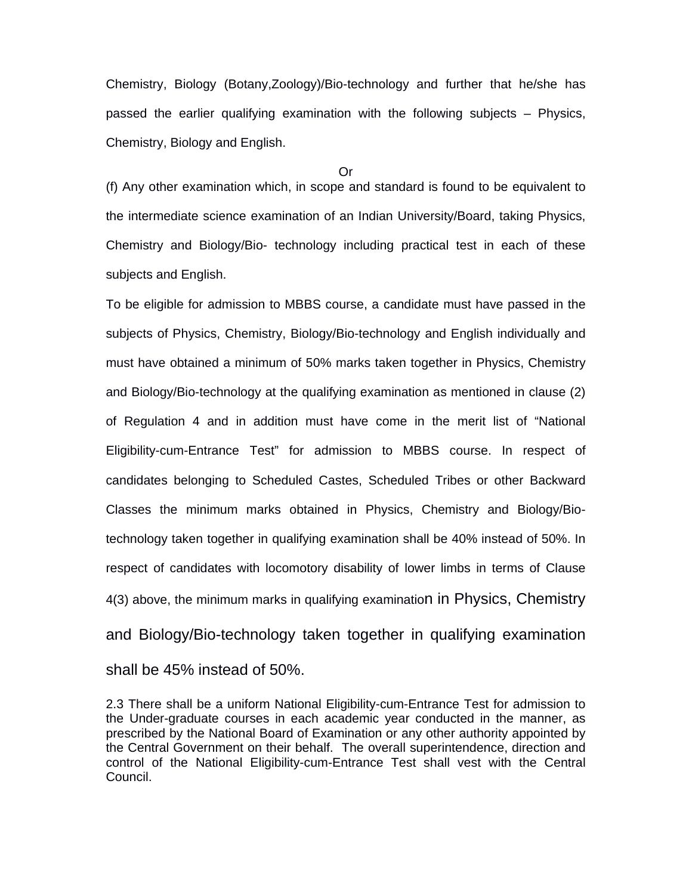Chemistry, Biology (Botany,Zoology)/Bio-technology and further that he/she has passed the earlier qualifying examination with the following subjects – Physics, Chemistry, Biology and English.

Or

(f) Any other examination which, in scope and standard is found to be equivalent to the intermediate science examination of an Indian University/Board, taking Physics, Chemistry and Biology/Bio- technology including practical test in each of these subjects and English.

To be eligible for admission to MBBS course, a candidate must have passed in the subjects of Physics, Chemistry, Biology/Bio-technology and English individually and must have obtained a minimum of 50% marks taken together in Physics, Chemistry and Biology/Bio-technology at the qualifying examination as mentioned in clause (2) of Regulation 4 and in addition must have come in the merit list of "National Eligibility-cum-Entrance Test" for admission to MBBS course. In respect of candidates belonging to Scheduled Castes, Scheduled Tribes or other Backward Classes the minimum marks obtained in Physics, Chemistry and Biology/Biotechnology taken together in qualifying examination shall be 40% instead of 50%. In respect of candidates with locomotory disability of lower limbs in terms of Clause 4(3) above, the minimum marks in qualifying examination in Physics, Chemistry and Biology/Bio-technology taken together in qualifying examination shall be 45% instead of 50%.

2.3 There shall be a uniform National Eligibility-cum-Entrance Test for admission to the Under-graduate courses in each academic year conducted in the manner, as prescribed by the National Board of Examination or any other authority appointed by the Central Government on their behalf. The overall superintendence, direction and control of the National Eligibility-cum-Entrance Test shall vest with the Central Council.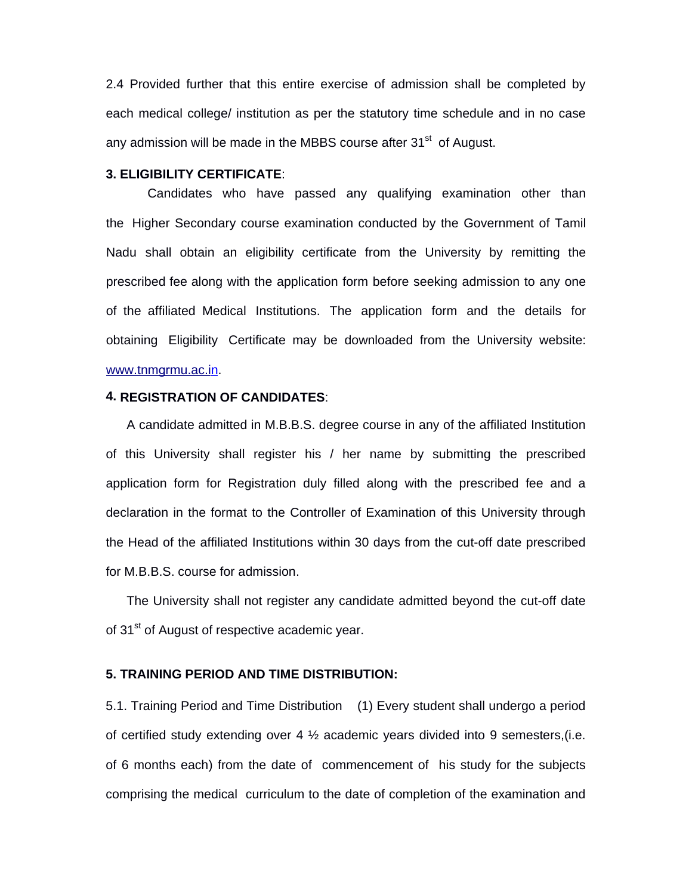2.4 Provided further that this entire exercise of admission shall be completed by each medical college/ institution as per the statutory time schedule and in no case any admission will be made in the MBBS course after  $31<sup>st</sup>$  of August.

# **3. ELIGIBILITY CERTIFICATE**:

Candidates who have passed any qualifying examination other than the Higher Secondary course examination conducted by the Government of Tamil Nadu shall obtain an eligibility certificate from the University by remitting the prescribed fee along with the application form before seeking admission to any one of the affiliated Medical Institutions. The application form and the details for obtaining Eligibility Certificate may be downloaded from the University website: www.tnmgrmu.ac.in.

# **4. REGISTRATION OF CANDIDATES**:

A candidate admitted in M.B.B.S. degree course in any of the affiliated Institution of this University shall register his / her name by submitting the prescribed application form for Registration duly filled along with the prescribed fee and a declaration in the format to the Controller of Examination of this University through the Head of the affiliated Institutions within 30 days from the cut-off date prescribed for M.B.B.S. course for admission.

The University shall not register any candidate admitted beyond the cut-off date of 31<sup>st</sup> of August of respective academic year.

# **5. TRAINING PERIOD AND TIME DISTRIBUTION:**

5.1. Training Period and Time Distribution (1) Every student shall undergo a period of certified study extending over 4  $\frac{1}{2}$  academic years divided into 9 semesters, (i.e. of 6 months each) from the date of commencement of his study for the subjects comprising the medical curriculum to the date of completion of the examination and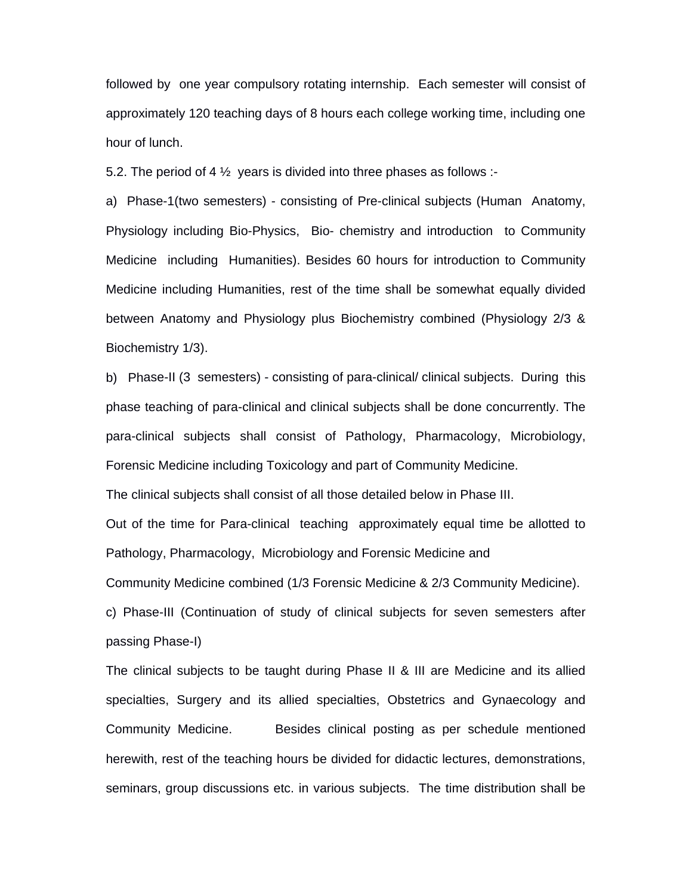followed by one year compulsory rotating internship. Each semester will consist of approximately 120 teaching days of 8 hours each college working time, including one hour of lunch.

5.2. The period of 4  $\frac{1}{2}$  years is divided into three phases as follows :-

a) Phase-1(two semesters) - consisting of Pre-clinical subjects (Human Anatomy, Physiology including Bio-Physics, Bio- chemistry and introduction to Community Medicine including Humanities). Besides 60 hours for introduction to Community Medicine including Humanities, rest of the time shall be somewhat equally divided between Anatomy and Physiology plus Biochemistry combined (Physiology 2/3 & Biochemistry 1/3).

b) Phase-II (3 semesters) - consisting of para-clinical/ clinical subjects. During this phase teaching of para-clinical and clinical subjects shall be done concurrently. The para-clinical subjects shall consist of Pathology, Pharmacology, Microbiology, Forensic Medicine including Toxicology and part of Community Medicine.

The clinical subjects shall consist of all those detailed below in Phase III.

Out of the time for Para-clinical teaching approximately equal time be allotted to Pathology, Pharmacology, Microbiology and Forensic Medicine and

Community Medicine combined (1/3 Forensic Medicine & 2/3 Community Medicine).

c) Phase-III (Continuation of study of clinical subjects for seven semesters after passing Phase-I)

The clinical subjects to be taught during Phase II & III are Medicine and its allied specialties, Surgery and its allied specialties, Obstetrics and Gynaecology and Community Medicine. Besides clinical posting as per schedule mentioned herewith, rest of the teaching hours be divided for didactic lectures, demonstrations, seminars, group discussions etc. in various subjects. The time distribution shall be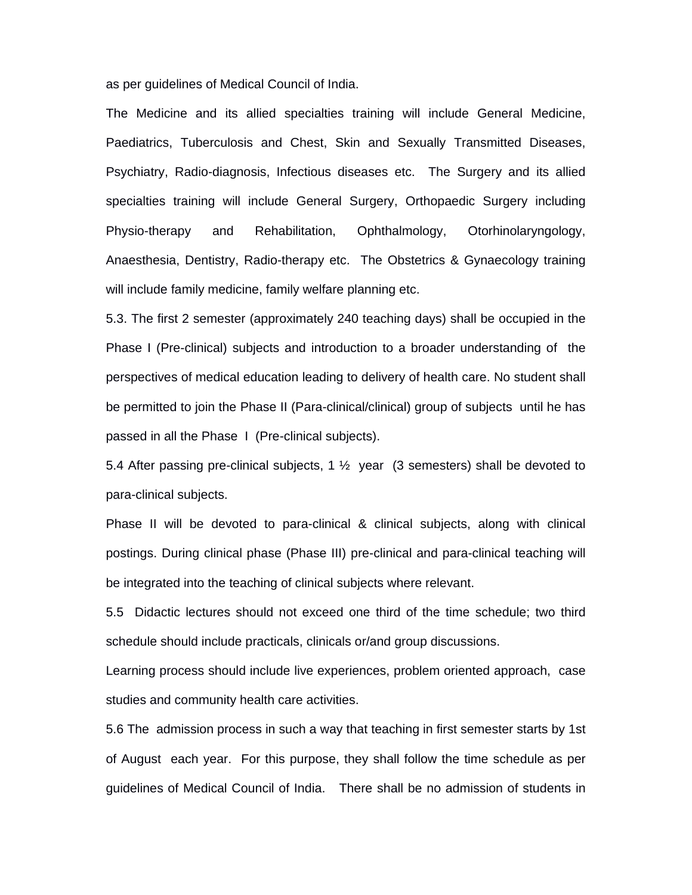as per guidelines of Medical Council of India.

The Medicine and its allied specialties training will include General Medicine, Paediatrics, Tuberculosis and Chest, Skin and Sexually Transmitted Diseases, Psychiatry, Radio-diagnosis, Infectious diseases etc. The Surgery and its allied specialties training will include General Surgery, Orthopaedic Surgery including Physio-therapy and Rehabilitation, Ophthalmology, Otorhinolaryngology, Anaesthesia, Dentistry, Radio-therapy etc. The Obstetrics & Gynaecology training will include family medicine, family welfare planning etc.

5.3. The first 2 semester (approximately 240 teaching days) shall be occupied in the Phase I (Pre-clinical) subjects and introduction to a broader understanding of the perspectives of medical education leading to delivery of health care. No student shall be permitted to join the Phase II (Para-clinical/clinical) group of subjects until he has passed in all the Phase I (Pre-clinical subjects).

5.4 After passing pre-clinical subjects, 1  $\frac{1}{2}$  year (3 semesters) shall be devoted to para-clinical subjects.

Phase II will be devoted to para-clinical & clinical subjects, along with clinical postings. During clinical phase (Phase III) pre-clinical and para-clinical teaching will be integrated into the teaching of clinical subjects where relevant.

5.5 Didactic lectures should not exceed one third of the time schedule; two third schedule should include practicals, clinicals or/and group discussions.

Learning process should include live experiences, problem oriented approach, case studies and community health care activities.

5.6 The admission process in such a way that teaching in first semester starts by 1st of August each year. For this purpose, they shall follow the time schedule as per guidelines of Medical Council of India. There shall be no admission of students in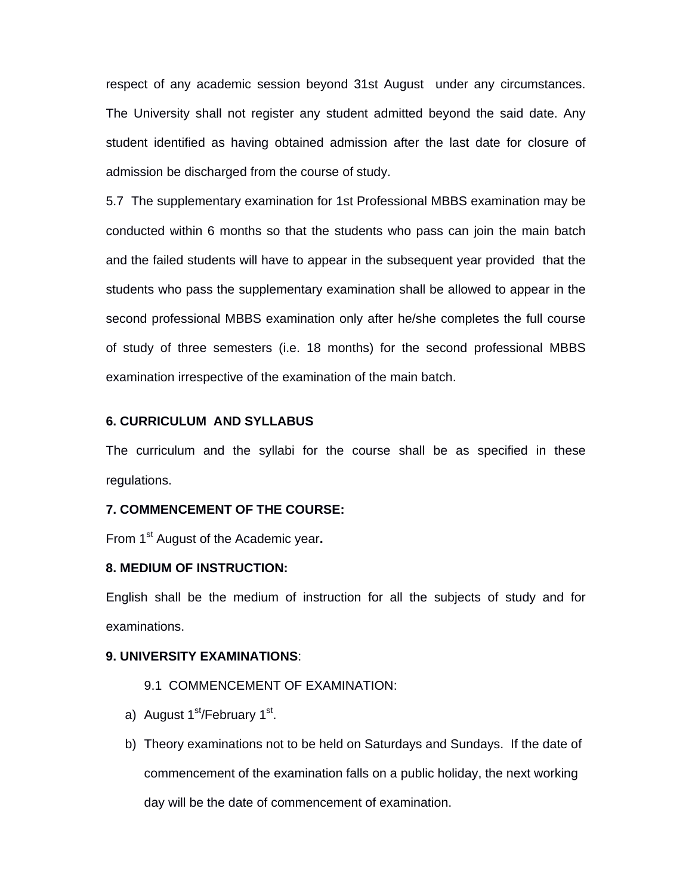respect of any academic session beyond 31st August under any circumstances. The University shall not register any student admitted beyond the said date. Any student identified as having obtained admission after the last date for closure of admission be discharged from the course of study.

5.7 The supplementary examination for 1st Professional MBBS examination may be conducted within 6 months so that the students who pass can join the main batch and the failed students will have to appear in the subsequent year provided that the students who pass the supplementary examination shall be allowed to appear in the second professional MBBS examination only after he/she completes the full course of study of three semesters (i.e. 18 months) for the second professional MBBS examination irrespective of the examination of the main batch.

#### **6. CURRICULUM AND SYLLABUS**

The curriculum and the syllabi for the course shall be as specified in these regulations.

## **7. COMMENCEMENT OF THE COURSE:**

From 1<sup>st</sup> August of the Academic year.

# **8. MEDIUM OF INSTRUCTION:**

English shall be the medium of instruction for all the subjects of study and for examinations.

#### **9. UNIVERSITY EXAMINATIONS**:

# 9.1 COMMENCEMENT OF EXAMINATION:

- a) August  $1<sup>st</sup>/February$   $1<sup>st</sup>$ .
- b) Theory examinations not to be held on Saturdays and Sundays. If the date of commencement of the examination falls on a public holiday, the next working day will be the date of commencement of examination.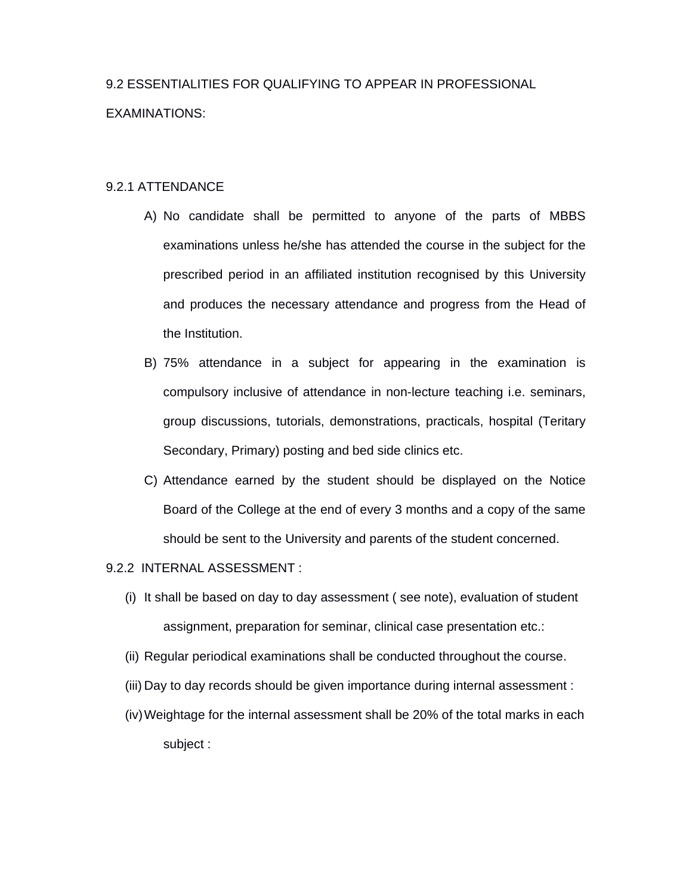# 9.2 ESSENTIALITIES FOR QUALIFYING TO APPEAR IN PROFESSIONAL EXAMINATIONS:

# 9.2.1 ATTENDANCE

- A) No candidate shall be permitted to anyone of the parts of MBBS examinations unless he/she has attended the course in the subject for the prescribed period in an affiliated institution recognised by this University and produces the necessary attendance and progress from the Head of the Institution.
- B) 75% attendance in a subject for appearing in the examination is compulsory inclusive of attendance in non-lecture teaching i.e. seminars, group discussions, tutorials, demonstrations, practicals, hospital (Teritary Secondary, Primary) posting and bed side clinics etc.
- C) Attendance earned by the student should be displayed on the Notice Board of the College at the end of every 3 months and a copy of the same should be sent to the University and parents of the student concerned.

## 9.2.2 INTERNAL ASSESSMENT :

- (i) It shall be based on day to day assessment ( see note), evaluation of student assignment, preparation for seminar, clinical case presentation etc.:
- (ii) Regular periodical examinations shall be conducted throughout the course.
- (iii) Day to day records should be given importance during internal assessment :
- (iv) Weightage for the internal assessment shall be 20% of the total marks in each subject :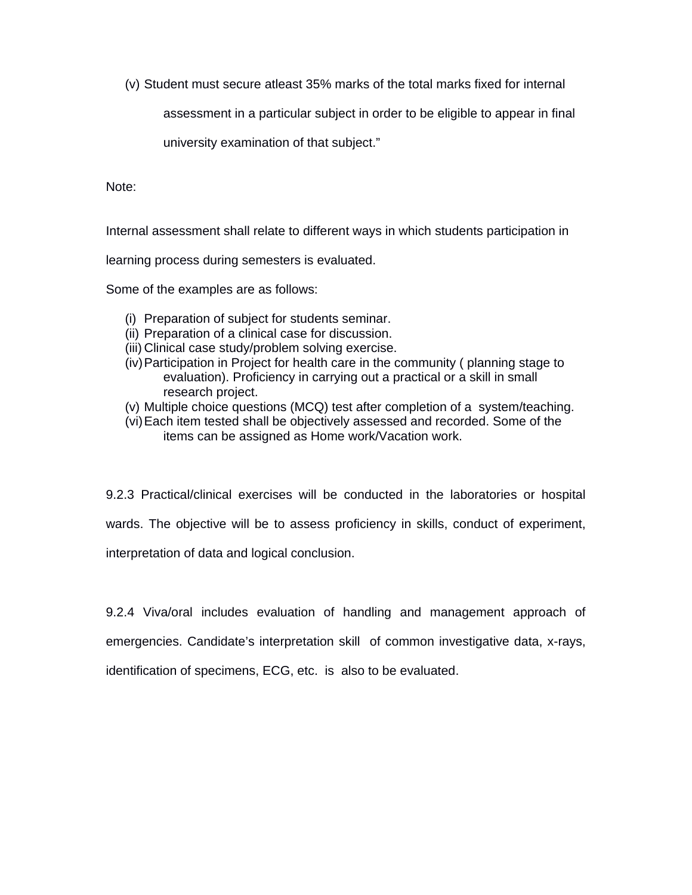(v) Student must secure atleast 35% marks of the total marks fixed for internal

assessment in a particular subject in order to be eligible to appear in final

university examination of that subject."

Note:

Internal assessment shall relate to different ways in which students participation in

learning process during semesters is evaluated.

Some of the examples are as follows:

- (i) Preparation of subject for students seminar.
- (ii) Preparation of a clinical case for discussion.
- (iii) Clinical case study/problem solving exercise.
- (iv) Participation in Project for health care in the community ( planning stage to evaluation). Proficiency in carrying out a practical or a skill in small research project.
- (v) Multiple choice questions (MCQ) test after completion of a system/teaching.
- (vi) Each item tested shall be objectively assessed and recorded. Some of the items can be assigned as Home work/Vacation work.

9.2.3 Practical/clinical exercises will be conducted in the laboratories or hospital

wards. The objective will be to assess proficiency in skills, conduct of experiment,

interpretation of data and logical conclusion.

9.2.4 Viva/oral includes evaluation of handling and management approach of emergencies. Candidate's interpretation skill of common investigative data, x-rays, identification of specimens, ECG, etc. is also to be evaluated.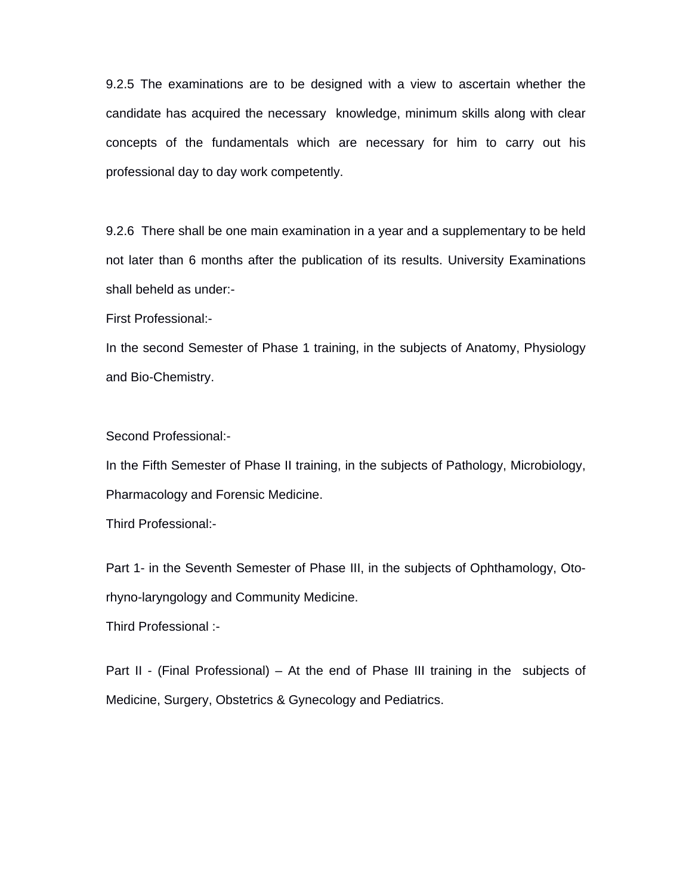9.2.5 The examinations are to be designed with a view to ascertain whether the candidate has acquired the necessary knowledge, minimum skills along with clear concepts of the fundamentals which are necessary for him to carry out his professional day to day work competently.

9.2.6 There shall be one main examination in a year and a supplementary to be held not later than 6 months after the publication of its results. University Examinations shall beheld as under:-

First Professional:-

In the second Semester of Phase 1 training, in the subjects of Anatomy, Physiology and Bio-Chemistry.

Second Professional:-

In the Fifth Semester of Phase II training, in the subjects of Pathology, Microbiology, Pharmacology and Forensic Medicine.

Third Professional:-

Part 1- in the Seventh Semester of Phase III, in the subjects of Ophthamology, Otorhyno-laryngology and Community Medicine.

Third Professional :-

Part II - (Final Professional) – At the end of Phase III training in the subjects of Medicine, Surgery, Obstetrics & Gynecology and Pediatrics.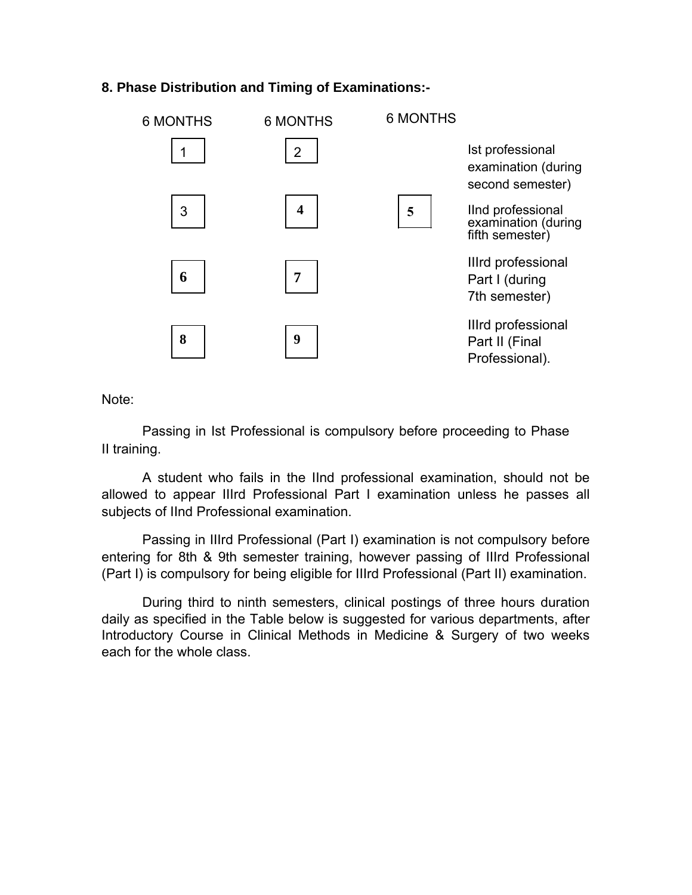# **8. Phase Distribution and Timing of Examinations:-**

| 6 MONTHS | <b>6 MONTHS</b>         | <b>6 MONTHS</b> |                                                             |
|----------|-------------------------|-----------------|-------------------------------------------------------------|
|          | $\overline{2}$          |                 | Ist professional<br>examination (during<br>second semester) |
| 3        | $\overline{\mathbf{4}}$ | 5               | IInd professional<br>examination (during<br>fifth semester) |
| 6        | 7                       |                 | Illrd professional<br>Part I (during<br>7th semester)       |
| 8        | 9                       |                 | Illrd professional<br>Part II (Final<br>Professional).      |

Note:

Passing in Ist Professional is compulsory before proceeding to Phase II training.

A student who fails in the IInd professional examination, should not be allowed to appear IIIrd Professional Part I examination unless he passes all subjects of IInd Professional examination.

Passing in IIIrd Professional (Part I) examination is not compulsory before entering for 8th & 9th semester training, however passing of IIIrd Professional (Part I) is compulsory for being eligible for IIIrd Professional (Part II) examination.

During third to ninth semesters, clinical postings of three hours duration daily as specified in the Table below is suggested for various departments, after Introductory Course in Clinical Methods in Medicine & Surgery of two weeks each for the whole class.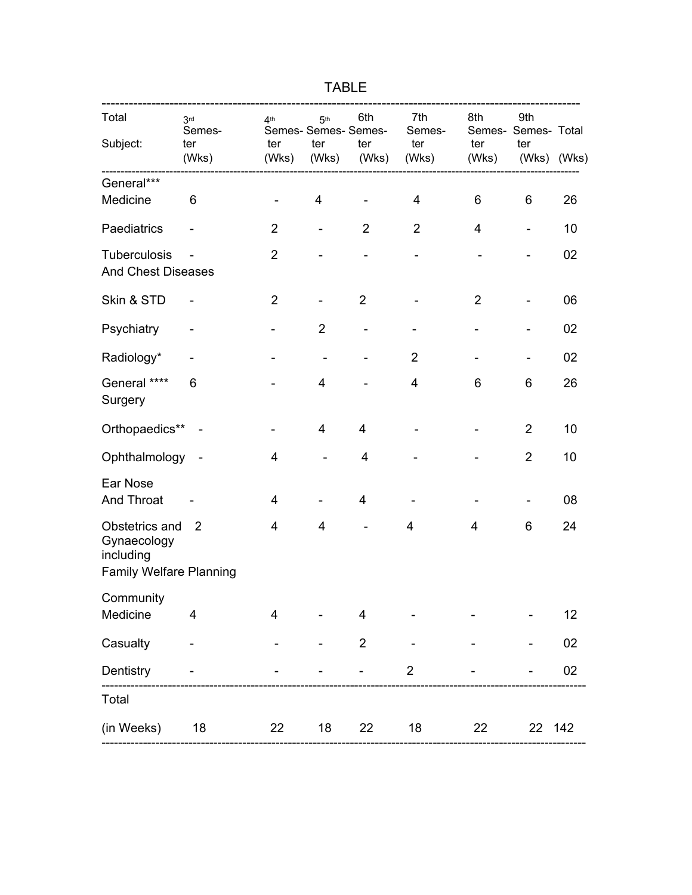| Total<br>Subject:                                                            | 3 <sub>rd</sub><br>Semes-<br>ter<br>(Wks) | 4 <sup>th</sup><br>ter<br>(Wks) | 5 <sup>th</sup><br>Semes- Semes- Semes-<br>ter<br>(Wks) | 6th<br>ter<br>(Wks)          | 7th<br>Semes-<br>ter<br>(Wks) | 8th<br>ter<br>(Wks)      | 9th<br>Semes- Semes- Total<br>ter<br>(Wks) (Wks) |    |
|------------------------------------------------------------------------------|-------------------------------------------|---------------------------------|---------------------------------------------------------|------------------------------|-------------------------------|--------------------------|--------------------------------------------------|----|
| General***                                                                   | ---------------                           |                                 |                                                         |                              |                               |                          |                                                  |    |
| Medicine                                                                     | 6                                         | $\overline{a}$                  | $\overline{4}$                                          | $\overline{\phantom{a}}$     | $\overline{\mathbf{4}}$       | 6                        | 6                                                | 26 |
| Paediatrics                                                                  |                                           | $\overline{2}$                  | $\overline{\phantom{a}}$                                | $\overline{2}$               | $\overline{2}$                | $\overline{4}$           | $\overline{\phantom{0}}$                         | 10 |
| Tuberculosis<br><b>And Chest Diseases</b>                                    |                                           | $\overline{2}$                  | $\overline{\phantom{0}}$                                | $\blacksquare$               | $\overline{\phantom{0}}$      | $\overline{\phantom{0}}$ | $\blacksquare$                                   | 02 |
| Skin & STD                                                                   |                                           | $\overline{2}$                  | $\overline{\phantom{0}}$                                | $\overline{2}$               |                               | $\overline{2}$           | -                                                | 06 |
| Psychiatry                                                                   |                                           | $\qquad \qquad \blacksquare$    | $\overline{2}$                                          | $\qquad \qquad \blacksquare$ | $\overline{\phantom{m}}$      | $\overline{\phantom{0}}$ | $\qquad \qquad \blacksquare$                     | 02 |
| Radiology*                                                                   |                                           | $\overline{\phantom{0}}$        | $\blacksquare$                                          |                              | $\overline{2}$                |                          | $\qquad \qquad \blacksquare$                     | 02 |
| General ****<br>Surgery                                                      | 6                                         |                                 | $\overline{4}$                                          |                              | 4                             | 6                        | 6                                                | 26 |
| Orthopaedics** -                                                             |                                           |                                 | $\overline{4}$                                          | $\overline{4}$               |                               |                          | $\overline{2}$                                   | 10 |
| Ophthalmology                                                                |                                           | $\overline{4}$                  | $\overline{\phantom{a}}$                                | $\overline{\mathbf{4}}$      |                               |                          | $\overline{2}$                                   | 10 |
| Ear Nose<br>And Throat                                                       |                                           | $\overline{4}$                  |                                                         | $\overline{\mathbf{4}}$      |                               |                          |                                                  | 08 |
| Obstetrics and<br>Gynaecology<br>including<br><b>Family Welfare Planning</b> | 2                                         | 4                               | 4                                                       |                              | 4                             | 4                        | 6                                                | 24 |
|                                                                              |                                           |                                 |                                                         |                              |                               |                          |                                                  |    |
| Community<br>Medicine                                                        | 4                                         | $\overline{4}$                  |                                                         | 4                            |                               |                          |                                                  | 12 |
| Casualty                                                                     | $\overline{a}$                            |                                 |                                                         | $\overline{2}$               |                               |                          |                                                  | 02 |
| Dentistry                                                                    |                                           |                                 |                                                         |                              | $\overline{\mathbf{c}}$       |                          |                                                  | 02 |

---------------------------------------------------------------------------------------------------------------------

(in Weeks) 18 22 18 22 18 22 22 142 ---------------------------------------------------------------------------------------------------------------------

Total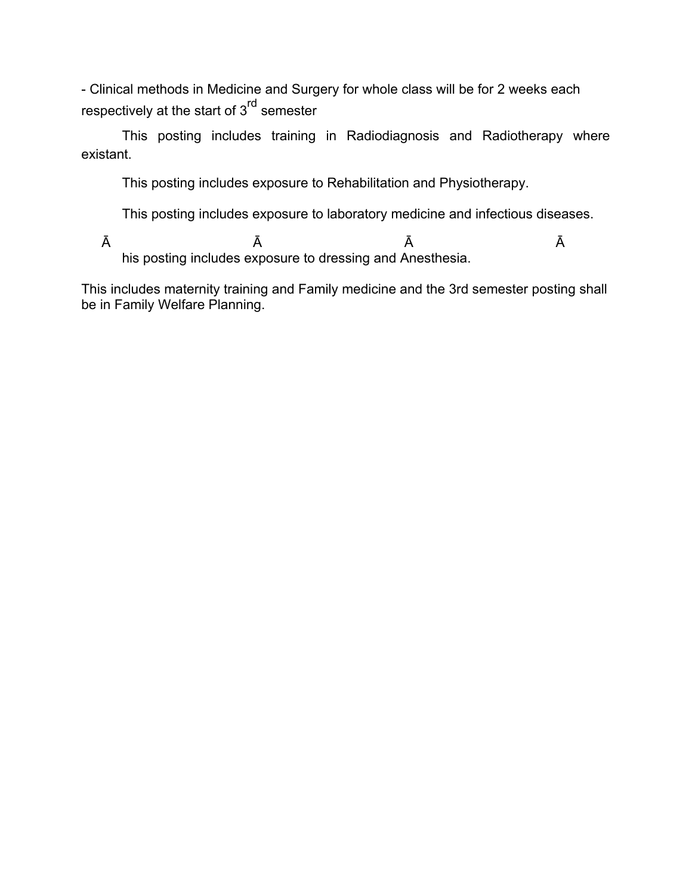- Clinical methods in Medicine and Surgery for whole class will be for 2 weeks each respectively at the start of 3<sup>rd</sup> semester

 This posting includes training in Radiodiagnosis and Radiotherapy where existant.

This posting includes exposure to Rehabilitation and Physiotherapy.

This posting includes exposure to laboratory medicine and infectious diseases.

 $\bar{A}$   $\bar{A}$   $\bar{A}$   $\bar{A}$   $\bar{A}$ his posting includes exposure to dressing and Anesthesia.

This includes maternity training and Family medicine and the 3rd semester posting shall be in Family Welfare Planning.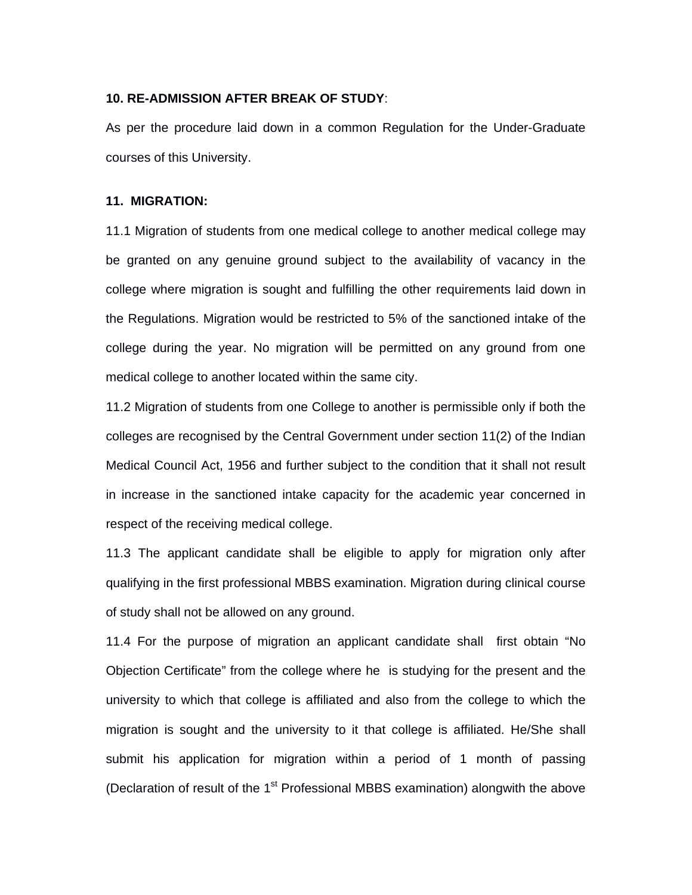#### **10. RE-ADMISSION AFTER BREAK OF STUDY**:

As per the procedure laid down in a common Regulation for the Under-Graduate courses of this University.

#### **11. MIGRATION:**

11.1 Migration of students from one medical college to another medical college may be granted on any genuine ground subject to the availability of vacancy in the college where migration is sought and fulfilling the other requirements laid down in the Regulations. Migration would be restricted to 5% of the sanctioned intake of the college during the year. No migration will be permitted on any ground from one medical college to another located within the same city.

11.2 Migration of students from one College to another is permissible only if both the colleges are recognised by the Central Government under section 11(2) of the Indian Medical Council Act, 1956 and further subject to the condition that it shall not result in increase in the sanctioned intake capacity for the academic year concerned in respect of the receiving medical college.

11.3 The applicant candidate shall be eligible to apply for migration only after qualifying in the first professional MBBS examination. Migration during clinical course of study shall not be allowed on any ground.

11.4 For the purpose of migration an applicant candidate shall first obtain "No Objection Certificate" from the college where he is studying for the present and the university to which that college is affiliated and also from the college to which the migration is sought and the university to it that college is affiliated. He/She shall submit his application for migration within a period of 1 month of passing (Declaration of result of the  $1<sup>st</sup>$  Professional MBBS examination) alongwith the above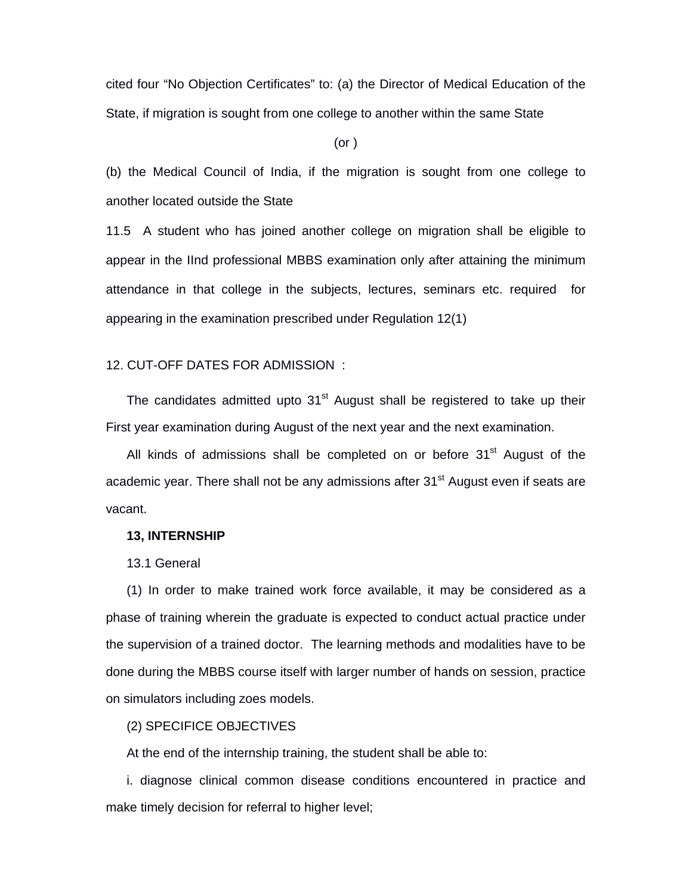cited four "No Objection Certificates" to: (a) the Director of Medical Education of the State, if migration is sought from one college to another within the same State

(or )

(b) the Medical Council of India, if the migration is sought from one college to another located outside the State

11.5 A student who has joined another college on migration shall be eligible to appear in the IInd professional MBBS examination only after attaining the minimum attendance in that college in the subjects, lectures, seminars etc. required for appearing in the examination prescribed under Regulation 12(1)

#### 12. CUT-OFF DATES FOR ADMISSION :

The candidates admitted upto  $31<sup>st</sup>$  August shall be registered to take up their First year examination during August of the next year and the next examination.

All kinds of admissions shall be completed on or before  $31<sup>st</sup>$  August of the academic year. There shall not be any admissions after 31<sup>st</sup> August even if seats are vacant.

#### **13, INTERNSHIP**

13.1 General

(1) In order to make trained work force available, it may be considered as a phase of training wherein the graduate is expected to conduct actual practice under the supervision of a trained doctor. The learning methods and modalities have to be done during the MBBS course itself with larger number of hands on session, practice on simulators including zoes models.

### (2) SPECIFICE OBJECTIVES

At the end of the internship training, the student shall be able to:

i. diagnose clinical common disease conditions encountered in practice and make timely decision for referral to higher level;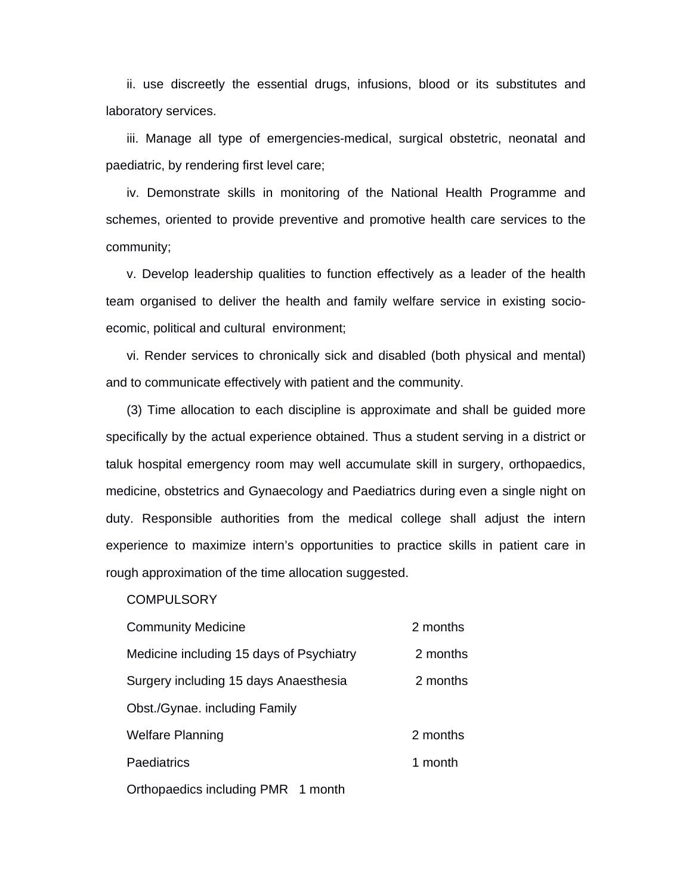ii. use discreetly the essential drugs, infusions, blood or its substitutes and laboratory services.

iii. Manage all type of emergencies-medical, surgical obstetric, neonatal and paediatric, by rendering first level care;

iv. Demonstrate skills in monitoring of the National Health Programme and schemes, oriented to provide preventive and promotive health care services to the community;

v. Develop leadership qualities to function effectively as a leader of the health team organised to deliver the health and family welfare service in existing socioecomic, political and cultural environment;

vi. Render services to chronically sick and disabled (both physical and mental) and to communicate effectively with patient and the community.

(3) Time allocation to each discipline is approximate and shall be guided more specifically by the actual experience obtained. Thus a student serving in a district or taluk hospital emergency room may well accumulate skill in surgery, orthopaedics, medicine, obstetrics and Gynaecology and Paediatrics during even a single night on duty. Responsible authorities from the medical college shall adjust the intern experience to maximize intern's opportunities to practice skills in patient care in rough approximation of the time allocation suggested.

**COMPULSORY** 

| <b>Community Medicine</b>                | 2 months |
|------------------------------------------|----------|
| Medicine including 15 days of Psychiatry | 2 months |
| Surgery including 15 days Anaesthesia    | 2 months |
| Obst./Gynae. including Family            |          |
| <b>Welfare Planning</b>                  | 2 months |
| Paediatrics                              | 1 month  |
|                                          |          |

Orthopaedics including PMR 1 month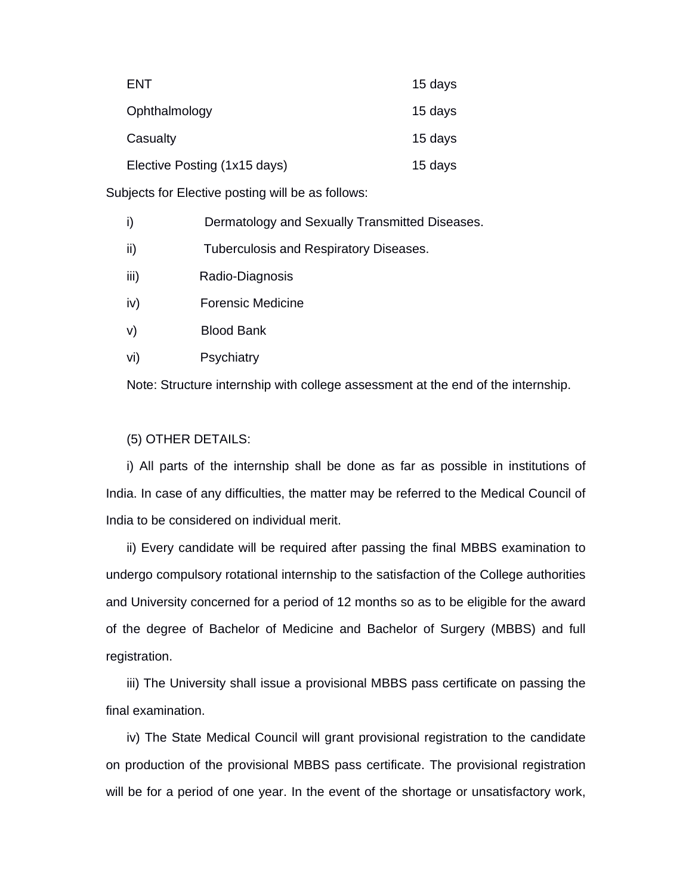| ENT                          | 15 days |
|------------------------------|---------|
| Ophthalmology                | 15 days |
| Casualty                     | 15 days |
| Elective Posting (1x15 days) | 15 days |

Subjects for Elective posting will be as follows:

| i)   | Dermatology and Sexually Transmitted Diseases. |
|------|------------------------------------------------|
| ii)  | <b>Tuberculosis and Respiratory Diseases.</b>  |
| iii) | Radio-Diagnosis                                |
| iv)  | <b>Forensic Medicine</b>                       |

- v) Blood Bank
- vi) Psychiatry

Note: Structure internship with college assessment at the end of the internship.

#### (5) OTHER DETAILS:

i) All parts of the internship shall be done as far as possible in institutions of India. In case of any difficulties, the matter may be referred to the Medical Council of India to be considered on individual merit.

ii) Every candidate will be required after passing the final MBBS examination to undergo compulsory rotational internship to the satisfaction of the College authorities and University concerned for a period of 12 months so as to be eligible for the award of the degree of Bachelor of Medicine and Bachelor of Surgery (MBBS) and full registration.

iii) The University shall issue a provisional MBBS pass certificate on passing the final examination.

iv) The State Medical Council will grant provisional registration to the candidate on production of the provisional MBBS pass certificate. The provisional registration will be for a period of one year. In the event of the shortage or unsatisfactory work,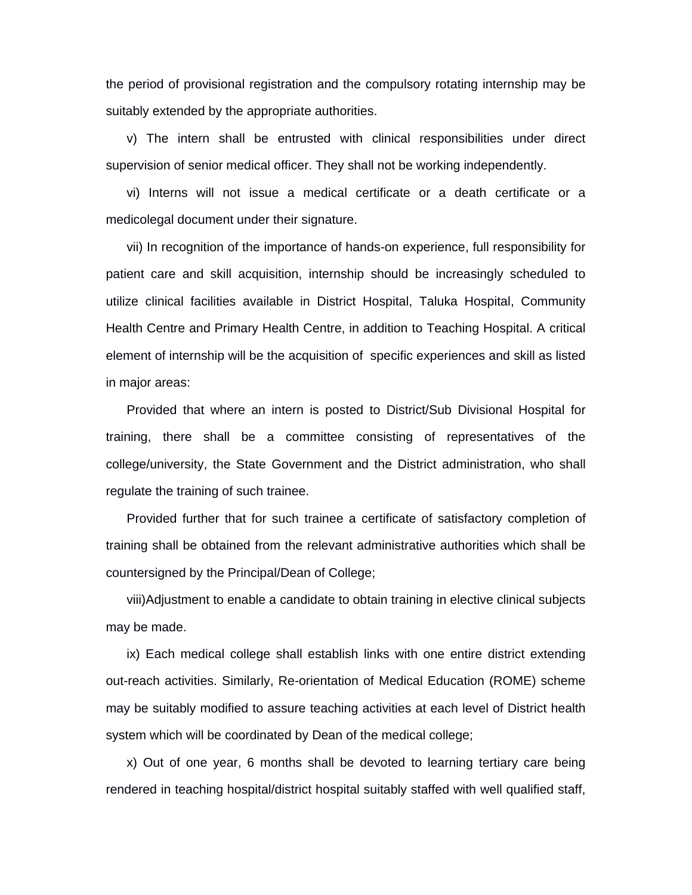the period of provisional registration and the compulsory rotating internship may be suitably extended by the appropriate authorities.

v) The intern shall be entrusted with clinical responsibilities under direct supervision of senior medical officer. They shall not be working independently.

vi) Interns will not issue a medical certificate or a death certificate or a medicolegal document under their signature.

vii) In recognition of the importance of hands-on experience, full responsibility for patient care and skill acquisition, internship should be increasingly scheduled to utilize clinical facilities available in District Hospital, Taluka Hospital, Community Health Centre and Primary Health Centre, in addition to Teaching Hospital. A critical element of internship will be the acquisition of specific experiences and skill as listed in major areas:

Provided that where an intern is posted to District/Sub Divisional Hospital for training, there shall be a committee consisting of representatives of the college/university, the State Government and the District administration, who shall regulate the training of such trainee.

Provided further that for such trainee a certificate of satisfactory completion of training shall be obtained from the relevant administrative authorities which shall be countersigned by the Principal/Dean of College;

viii)Adjustment to enable a candidate to obtain training in elective clinical subjects may be made.

ix) Each medical college shall establish links with one entire district extending out-reach activities. Similarly, Re-orientation of Medical Education (ROME) scheme may be suitably modified to assure teaching activities at each level of District health system which will be coordinated by Dean of the medical college;

x) Out of one year, 6 months shall be devoted to learning tertiary care being rendered in teaching hospital/district hospital suitably staffed with well qualified staff,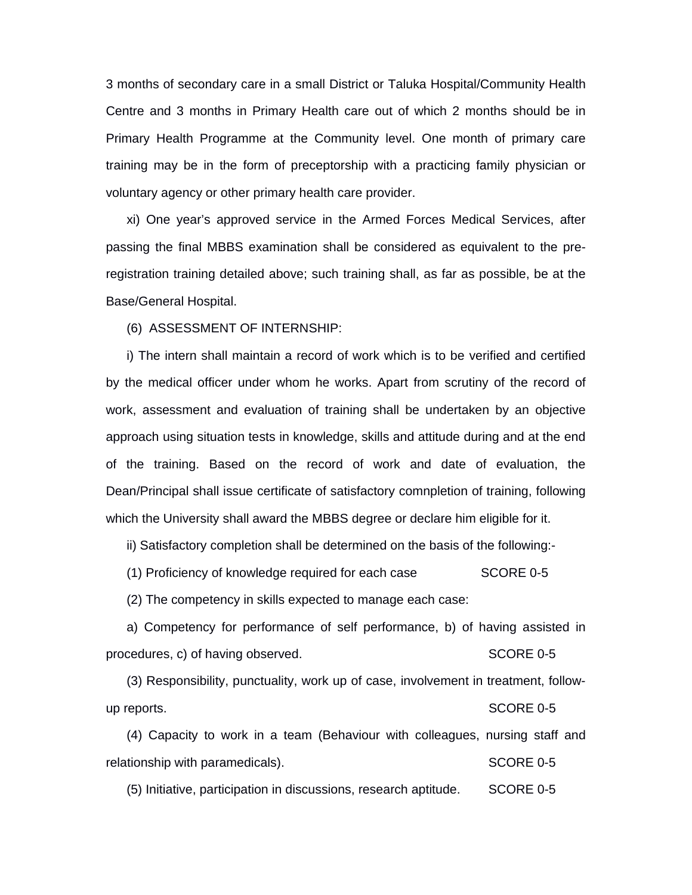3 months of secondary care in a small District or Taluka Hospital/Community Health Centre and 3 months in Primary Health care out of which 2 months should be in Primary Health Programme at the Community level. One month of primary care training may be in the form of preceptorship with a practicing family physician or voluntary agency or other primary health care provider.

xi) One year's approved service in the Armed Forces Medical Services, after passing the final MBBS examination shall be considered as equivalent to the preregistration training detailed above; such training shall, as far as possible, be at the Base/General Hospital.

(6) ASSESSMENT OF INTERNSHIP:

i) The intern shall maintain a record of work which is to be verified and certified by the medical officer under whom he works. Apart from scrutiny of the record of work, assessment and evaluation of training shall be undertaken by an objective approach using situation tests in knowledge, skills and attitude during and at the end of the training. Based on the record of work and date of evaluation, the Dean/Principal shall issue certificate of satisfactory comnpletion of training, following which the University shall award the MBBS degree or declare him eligible for it.

ii) Satisfactory completion shall be determined on the basis of the following:-

(1) Proficiency of knowledge required for each case SCORE 0-5

(2) The competency in skills expected to manage each case:

a) Competency for performance of self performance, b) of having assisted in procedures, c) of having observed. SCORE 0-5

(3) Responsibility, punctuality, work up of case, involvement in treatment, followup reports. SCORE 0-5

(4) Capacity to work in a team (Behaviour with colleagues, nursing staff and relationship with paramedicals). SCORE 0-5

(5) Initiative, participation in discussions, research aptitude. SCORE 0-5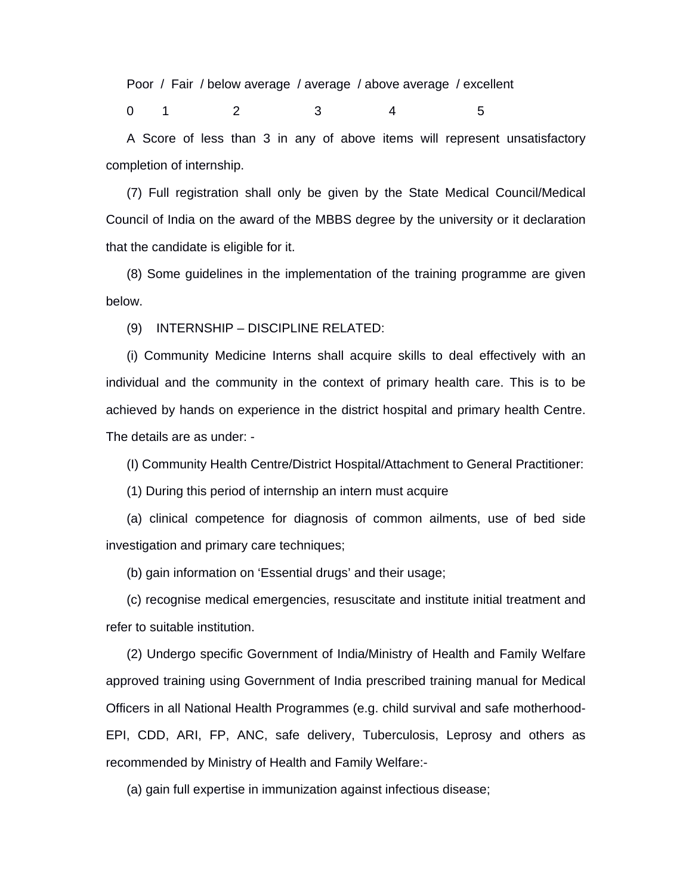Poor / Fair / below average / average / above average / excellent

0 1 2 3 4 5

A Score of less than 3 in any of above items will represent unsatisfactory completion of internship.

(7) Full registration shall only be given by the State Medical Council/Medical Council of India on the award of the MBBS degree by the university or it declaration that the candidate is eligible for it.

(8) Some guidelines in the implementation of the training programme are given below.

(9) INTERNSHIP – DISCIPLINE RELATED:

(i) Community Medicine Interns shall acquire skills to deal effectively with an individual and the community in the context of primary health care. This is to be achieved by hands on experience in the district hospital and primary health Centre. The details are as under: -

(I) Community Health Centre/District Hospital/Attachment to General Practitioner:

(1) During this period of internship an intern must acquire

(a) clinical competence for diagnosis of common ailments, use of bed side investigation and primary care techniques;

(b) gain information on 'Essential drugs' and their usage;

(c) recognise medical emergencies, resuscitate and institute initial treatment and refer to suitable institution.

(2) Undergo specific Government of India/Ministry of Health and Family Welfare approved training using Government of India prescribed training manual for Medical Officers in all National Health Programmes (e.g. child survival and safe motherhood-EPI, CDD, ARI, FP, ANC, safe delivery, Tuberculosis, Leprosy and others as recommended by Ministry of Health and Family Welfare:-

(a) gain full expertise in immunization against infectious disease;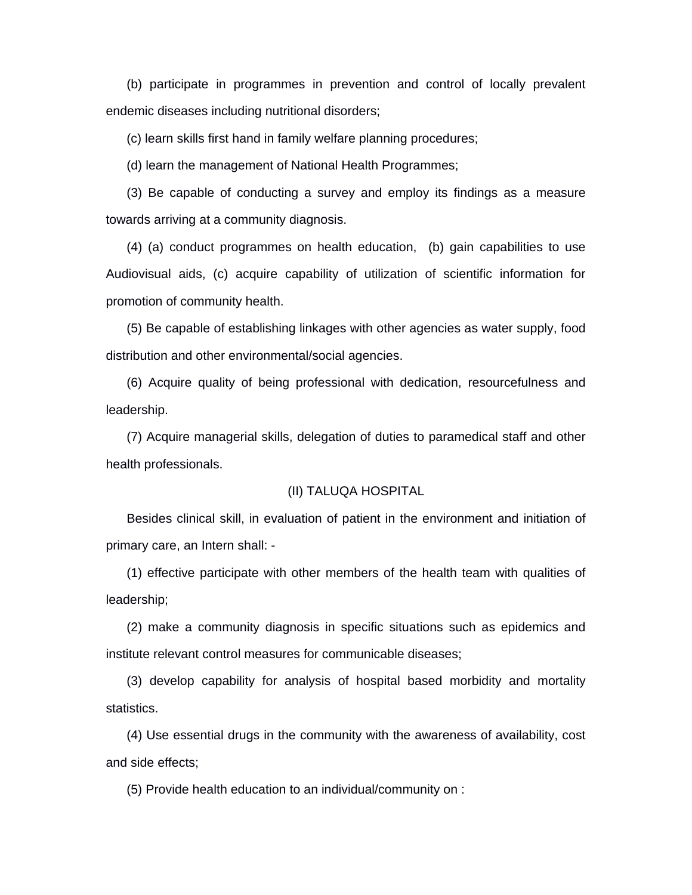(b) participate in programmes in prevention and control of locally prevalent endemic diseases including nutritional disorders;

(c) learn skills first hand in family welfare planning procedures;

(d) learn the management of National Health Programmes;

(3) Be capable of conducting a survey and employ its findings as a measure towards arriving at a community diagnosis.

(4) (a) conduct programmes on health education, (b) gain capabilities to use Audiovisual aids, (c) acquire capability of utilization of scientific information for promotion of community health.

(5) Be capable of establishing linkages with other agencies as water supply, food distribution and other environmental/social agencies.

(6) Acquire quality of being professional with dedication, resourcefulness and leadership.

(7) Acquire managerial skills, delegation of duties to paramedical staff and other health professionals.

## (II) TALUQA HOSPITAL

Besides clinical skill, in evaluation of patient in the environment and initiation of primary care, an Intern shall: -

(1) effective participate with other members of the health team with qualities of leadership;

(2) make a community diagnosis in specific situations such as epidemics and institute relevant control measures for communicable diseases;

(3) develop capability for analysis of hospital based morbidity and mortality statistics.

(4) Use essential drugs in the community with the awareness of availability, cost and side effects;

(5) Provide health education to an individual/community on :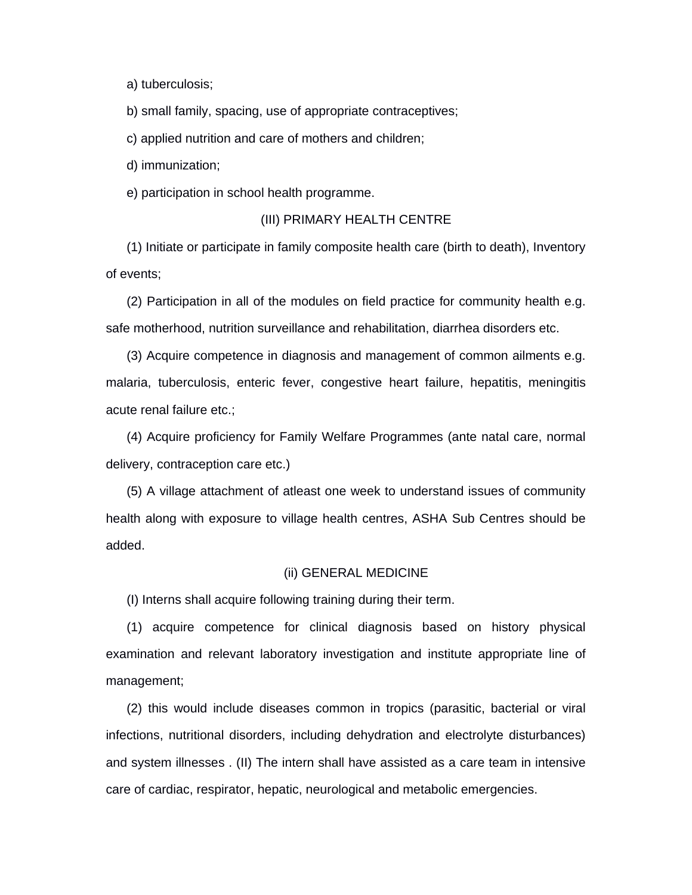a) tuberculosis;

b) small family, spacing, use of appropriate contraceptives;

c) applied nutrition and care of mothers and children;

d) immunization;

e) participation in school health programme.

## (III) PRIMARY HEALTH CENTRE

(1) Initiate or participate in family composite health care (birth to death), Inventory of events;

(2) Participation in all of the modules on field practice for community health e.g. safe motherhood, nutrition surveillance and rehabilitation, diarrhea disorders etc.

(3) Acquire competence in diagnosis and management of common ailments e.g. malaria, tuberculosis, enteric fever, congestive heart failure, hepatitis, meningitis acute renal failure etc.;

(4) Acquire proficiency for Family Welfare Programmes (ante natal care, normal delivery, contraception care etc.)

(5) A village attachment of atleast one week to understand issues of community health along with exposure to village health centres, ASHA Sub Centres should be added.

#### (ii) GENERAL MEDICINE

(I) Interns shall acquire following training during their term.

(1) acquire competence for clinical diagnosis based on history physical examination and relevant laboratory investigation and institute appropriate line of management;

(2) this would include diseases common in tropics (parasitic, bacterial or viral infections, nutritional disorders, including dehydration and electrolyte disturbances) and system illnesses . (II) The intern shall have assisted as a care team in intensive care of cardiac, respirator, hepatic, neurological and metabolic emergencies.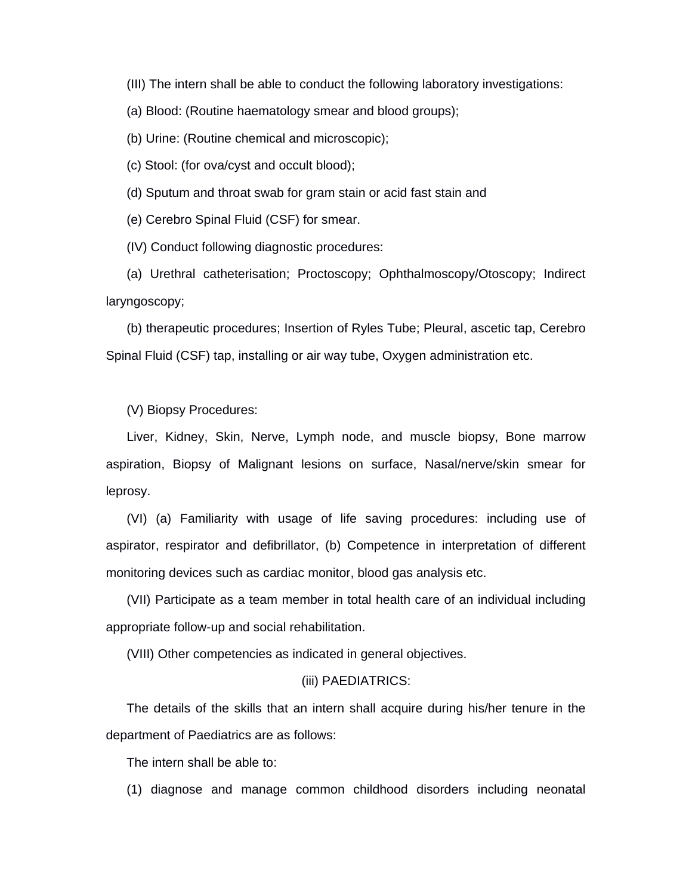(III) The intern shall be able to conduct the following laboratory investigations:

(a) Blood: (Routine haematology smear and blood groups);

(b) Urine: (Routine chemical and microscopic);

(c) Stool: (for ova/cyst and occult blood);

(d) Sputum and throat swab for gram stain or acid fast stain and

(e) Cerebro Spinal Fluid (CSF) for smear.

(IV) Conduct following diagnostic procedures:

(a) Urethral catheterisation; Proctoscopy; Ophthalmoscopy/Otoscopy; Indirect laryngoscopy;

(b) therapeutic procedures; Insertion of Ryles Tube; Pleural, ascetic tap, Cerebro Spinal Fluid (CSF) tap, installing or air way tube, Oxygen administration etc.

(V) Biopsy Procedures:

Liver, Kidney, Skin, Nerve, Lymph node, and muscle biopsy, Bone marrow aspiration, Biopsy of Malignant lesions on surface, Nasal/nerve/skin smear for leprosy.

(VI) (a) Familiarity with usage of life saving procedures: including use of aspirator, respirator and defibrillator, (b) Competence in interpretation of different monitoring devices such as cardiac monitor, blood gas analysis etc.

(VII) Participate as a team member in total health care of an individual including appropriate follow-up and social rehabilitation.

(VIII) Other competencies as indicated in general objectives.

#### (iii) PAEDIATRICS:

The details of the skills that an intern shall acquire during his/her tenure in the department of Paediatrics are as follows:

The intern shall be able to:

(1) diagnose and manage common childhood disorders including neonatal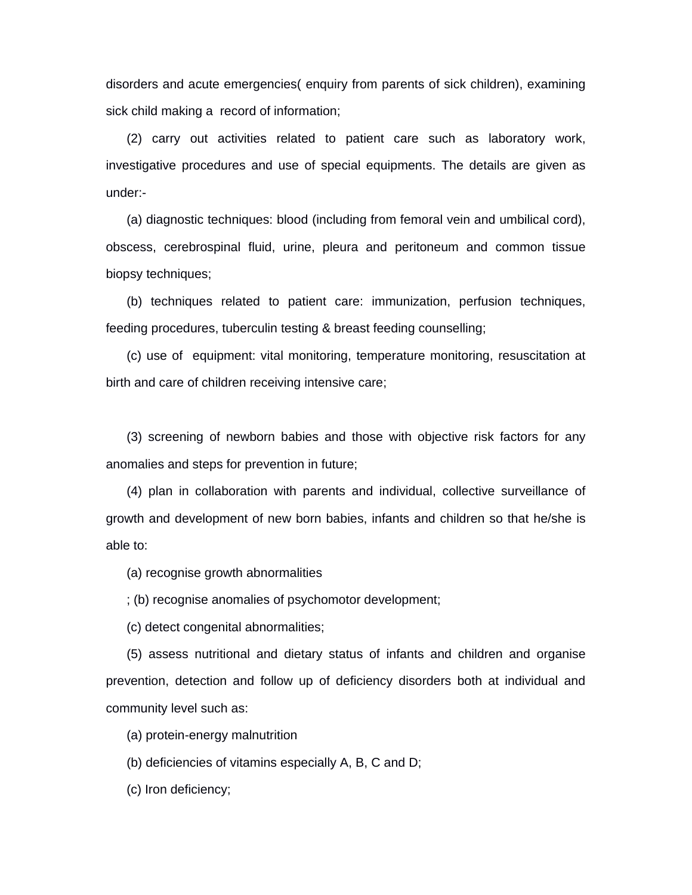disorders and acute emergencies( enquiry from parents of sick children), examining sick child making a record of information;

(2) carry out activities related to patient care such as laboratory work, investigative procedures and use of special equipments. The details are given as under:-

(a) diagnostic techniques: blood (including from femoral vein and umbilical cord), obscess, cerebrospinal fluid, urine, pleura and peritoneum and common tissue biopsy techniques;

(b) techniques related to patient care: immunization, perfusion techniques, feeding procedures, tuberculin testing & breast feeding counselling;

(c) use of equipment: vital monitoring, temperature monitoring, resuscitation at birth and care of children receiving intensive care;

(3) screening of newborn babies and those with objective risk factors for any anomalies and steps for prevention in future;

(4) plan in collaboration with parents and individual, collective surveillance of growth and development of new born babies, infants and children so that he/she is able to:

(a) recognise growth abnormalities

; (b) recognise anomalies of psychomotor development;

(c) detect congenital abnormalities;

(5) assess nutritional and dietary status of infants and children and organise prevention, detection and follow up of deficiency disorders both at individual and community level such as:

(a) protein-energy malnutrition

(b) deficiencies of vitamins especially A, B, C and D;

(c) Iron deficiency;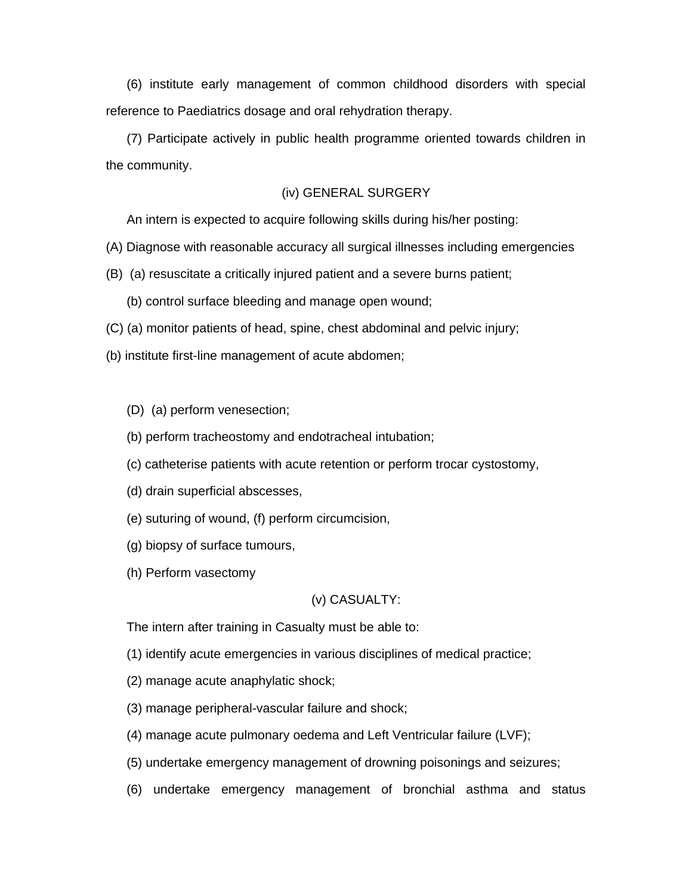(6) institute early management of common childhood disorders with special reference to Paediatrics dosage and oral rehydration therapy.

(7) Participate actively in public health programme oriented towards children in the community.

## (iv) GENERAL SURGERY

An intern is expected to acquire following skills during his/her posting:

- (A) Diagnose with reasonable accuracy all surgical illnesses including emergencies
- (B) (a) resuscitate a critically injured patient and a severe burns patient;
	- (b) control surface bleeding and manage open wound;
- (C) (a) monitor patients of head, spine, chest abdominal and pelvic injury;
- (b) institute first-line management of acute abdomen;

## (D) (a) perform venesection;

- (b) perform tracheostomy and endotracheal intubation;
- (c) catheterise patients with acute retention or perform trocar cystostomy,
- (d) drain superficial abscesses,
- (e) suturing of wound, (f) perform circumcision,
- (g) biopsy of surface tumours,
- (h) Perform vasectomy

#### (v) CASUALTY:

The intern after training in Casualty must be able to:

- (1) identify acute emergencies in various disciplines of medical practice;
- (2) manage acute anaphylatic shock;
- (3) manage peripheral-vascular failure and shock;
- (4) manage acute pulmonary oedema and Left Ventricular failure (LVF);
- (5) undertake emergency management of drowning poisonings and seizures;
- (6) undertake emergency management of bronchial asthma and status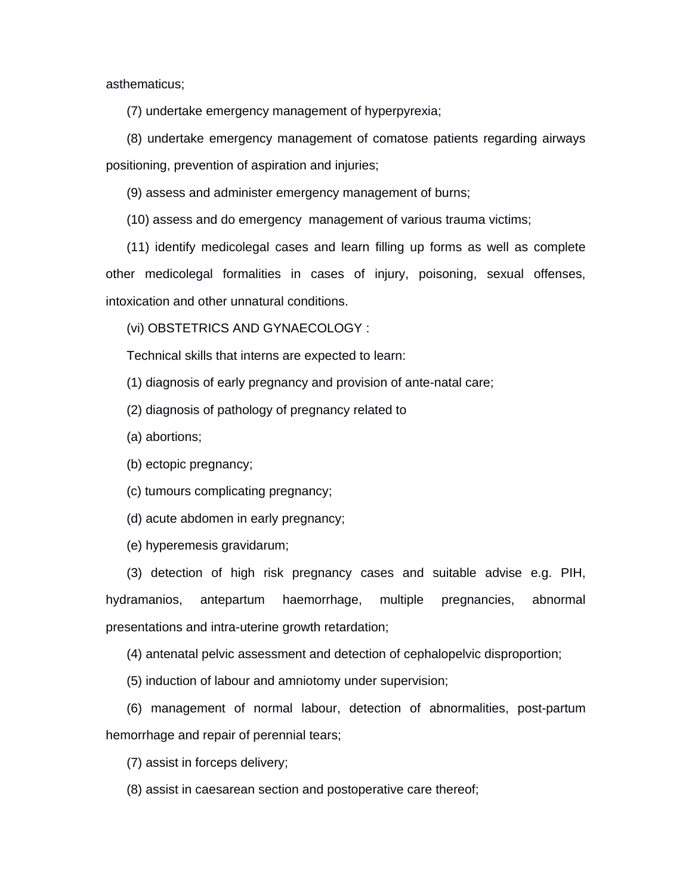asthematicus;

(7) undertake emergency management of hyperpyrexia;

(8) undertake emergency management of comatose patients regarding airways positioning, prevention of aspiration and injuries;

(9) assess and administer emergency management of burns;

(10) assess and do emergency management of various trauma victims;

(11) identify medicolegal cases and learn filling up forms as well as complete other medicolegal formalities in cases of injury, poisoning, sexual offenses, intoxication and other unnatural conditions.

(vi) OBSTETRICS AND GYNAECOLOGY :

Technical skills that interns are expected to learn:

(1) diagnosis of early pregnancy and provision of ante-natal care;

(2) diagnosis of pathology of pregnancy related to

(a) abortions;

(b) ectopic pregnancy;

(c) tumours complicating pregnancy;

(d) acute abdomen in early pregnancy;

(e) hyperemesis gravidarum;

(3) detection of high risk pregnancy cases and suitable advise e.g. PIH, hydramanios, antepartum haemorrhage, multiple pregnancies, abnormal presentations and intra-uterine growth retardation;

(4) antenatal pelvic assessment and detection of cephalopelvic disproportion;

(5) induction of labour and amniotomy under supervision;

(6) management of normal labour, detection of abnormalities, post-partum hemorrhage and repair of perennial tears;

(7) assist in forceps delivery;

(8) assist in caesarean section and postoperative care thereof;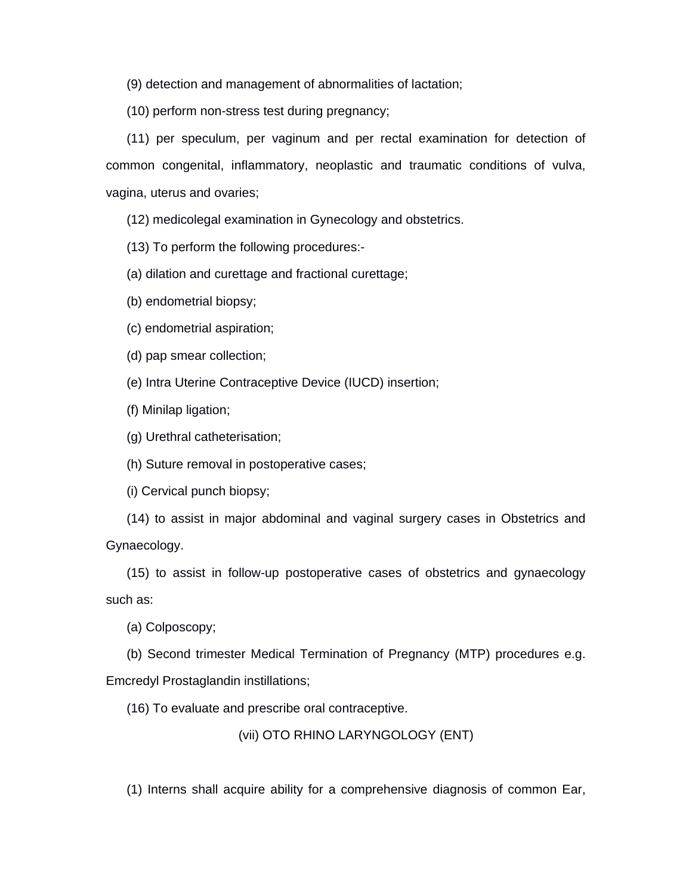(9) detection and management of abnormalities of lactation;

(10) perform non-stress test during pregnancy;

(11) per speculum, per vaginum and per rectal examination for detection of common congenital, inflammatory, neoplastic and traumatic conditions of vulva, vagina, uterus and ovaries;

(12) medicolegal examination in Gynecology and obstetrics.

(13) To perform the following procedures:-

(a) dilation and curettage and fractional curettage;

(b) endometrial biopsy;

(c) endometrial aspiration;

(d) pap smear collection;

(e) Intra Uterine Contraceptive Device (IUCD) insertion;

(f) Minilap ligation;

(g) Urethral catheterisation;

(h) Suture removal in postoperative cases;

(i) Cervical punch biopsy;

(14) to assist in major abdominal and vaginal surgery cases in Obstetrics and Gynaecology.

(15) to assist in follow-up postoperative cases of obstetrics and gynaecology such as:

(a) Colposcopy;

(b) Second trimester Medical Termination of Pregnancy (MTP) procedures e.g.

Emcredyl Prostaglandin instillations;

(16) To evaluate and prescribe oral contraceptive.

(vii) OTO RHINO LARYNGOLOGY (ENT)

(1) Interns shall acquire ability for a comprehensive diagnosis of common Ear,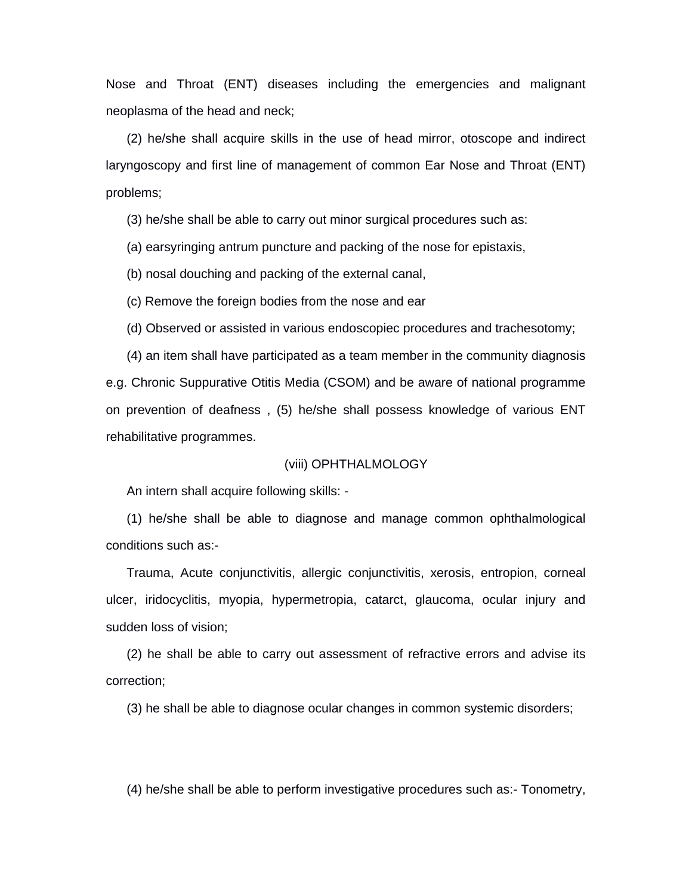Nose and Throat (ENT) diseases including the emergencies and malignant neoplasma of the head and neck;

(2) he/she shall acquire skills in the use of head mirror, otoscope and indirect laryngoscopy and first line of management of common Ear Nose and Throat (ENT) problems;

(3) he/she shall be able to carry out minor surgical procedures such as:

(a) earsyringing antrum puncture and packing of the nose for epistaxis,

(b) nosal douching and packing of the external canal,

(c) Remove the foreign bodies from the nose and ear

(d) Observed or assisted in various endoscopiec procedures and trachesotomy;

(4) an item shall have participated as a team member in the community diagnosis e.g. Chronic Suppurative Otitis Media (CSOM) and be aware of national programme on prevention of deafness , (5) he/she shall possess knowledge of various ENT rehabilitative programmes.

#### (viii) OPHTHALMOLOGY

An intern shall acquire following skills: -

(1) he/she shall be able to diagnose and manage common ophthalmological conditions such as:-

Trauma, Acute conjunctivitis, allergic conjunctivitis, xerosis, entropion, corneal ulcer, iridocyclitis, myopia, hypermetropia, catarct, glaucoma, ocular injury and sudden loss of vision;

(2) he shall be able to carry out assessment of refractive errors and advise its correction;

(3) he shall be able to diagnose ocular changes in common systemic disorders;

(4) he/she shall be able to perform investigative procedures such as:- Tonometry,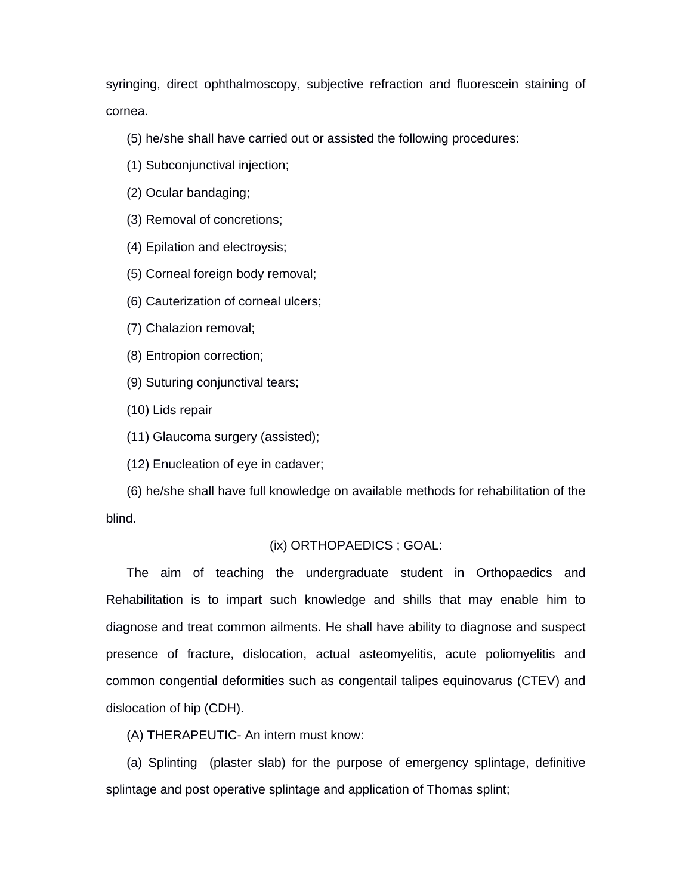syringing, direct ophthalmoscopy, subjective refraction and fluorescein staining of cornea.

(5) he/she shall have carried out or assisted the following procedures:

- (1) Subconjunctival injection;
- (2) Ocular bandaging;
- (3) Removal of concretions;
- (4) Epilation and electroysis;
- (5) Corneal foreign body removal;
- (6) Cauterization of corneal ulcers;
- (7) Chalazion removal;
- (8) Entropion correction;
- (9) Suturing conjunctival tears;
- (10) Lids repair
- (11) Glaucoma surgery (assisted);
- (12) Enucleation of eye in cadaver;

(6) he/she shall have full knowledge on available methods for rehabilitation of the blind.

#### (ix) ORTHOPAEDICS ; GOAL:

The aim of teaching the undergraduate student in Orthopaedics and Rehabilitation is to impart such knowledge and shills that may enable him to diagnose and treat common ailments. He shall have ability to diagnose and suspect presence of fracture, dislocation, actual asteomyelitis, acute poliomyelitis and common congential deformities such as congentail talipes equinovarus (CTEV) and dislocation of hip (CDH).

(A) THERAPEUTIC- An intern must know:

(a) Splinting (plaster slab) for the purpose of emergency splintage, definitive splintage and post operative splintage and application of Thomas splint;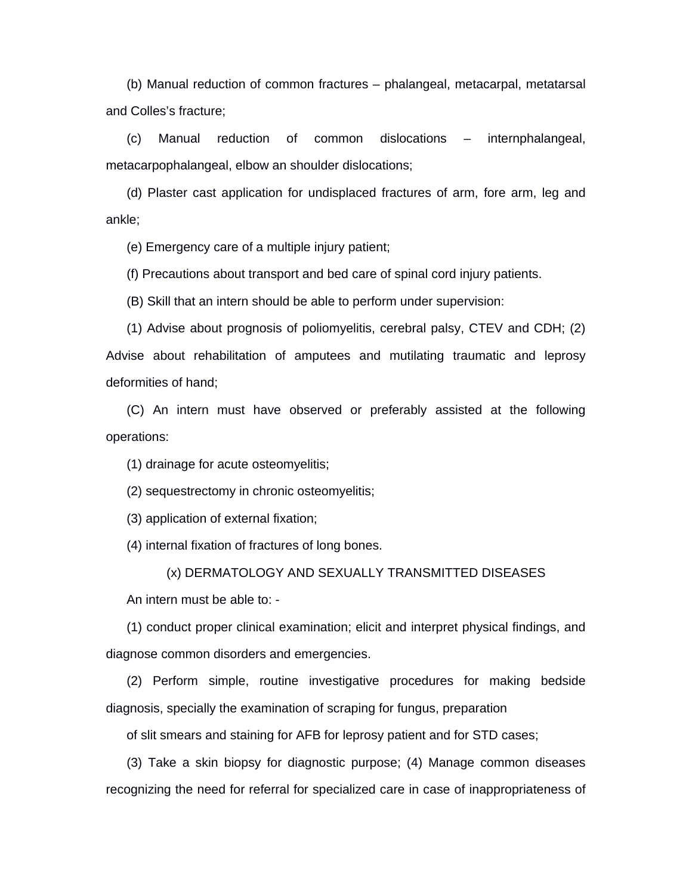(b) Manual reduction of common fractures – phalangeal, metacarpal, metatarsal and Colles's fracture;

(c) Manual reduction of common dislocations – internphalangeal, metacarpophalangeal, elbow an shoulder dislocations;

(d) Plaster cast application for undisplaced fractures of arm, fore arm, leg and ankle;

(e) Emergency care of a multiple injury patient;

(f) Precautions about transport and bed care of spinal cord injury patients.

(B) Skill that an intern should be able to perform under supervision:

(1) Advise about prognosis of poliomyelitis, cerebral palsy, CTEV and CDH; (2) Advise about rehabilitation of amputees and mutilating traumatic and leprosy deformities of hand;

(C) An intern must have observed or preferably assisted at the following operations:

(1) drainage for acute osteomyelitis;

(2) sequestrectomy in chronic osteomyelitis;

(3) application of external fixation;

(4) internal fixation of fractures of long bones.

(x) DERMATOLOGY AND SEXUALLY TRANSMITTED DISEASES

An intern must be able to: -

(1) conduct proper clinical examination; elicit and interpret physical findings, and diagnose common disorders and emergencies.

(2) Perform simple, routine investigative procedures for making bedside diagnosis, specially the examination of scraping for fungus, preparation

of slit smears and staining for AFB for leprosy patient and for STD cases;

(3) Take a skin biopsy for diagnostic purpose; (4) Manage common diseases recognizing the need for referral for specialized care in case of inappropriateness of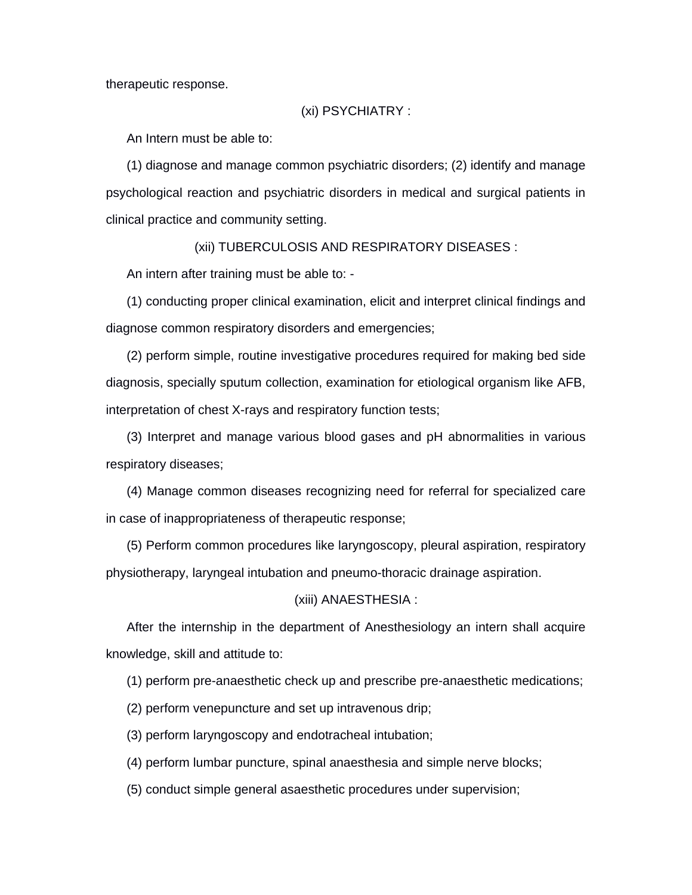therapeutic response.

#### (xi) PSYCHIATRY :

An Intern must be able to:

(1) diagnose and manage common psychiatric disorders; (2) identify and manage psychological reaction and psychiatric disorders in medical and surgical patients in clinical practice and community setting.

(xii) TUBERCULOSIS AND RESPIRATORY DISEASES :

An intern after training must be able to: -

(1) conducting proper clinical examination, elicit and interpret clinical findings and diagnose common respiratory disorders and emergencies;

(2) perform simple, routine investigative procedures required for making bed side diagnosis, specially sputum collection, examination for etiological organism like AFB, interpretation of chest X-rays and respiratory function tests;

(3) Interpret and manage various blood gases and pH abnormalities in various respiratory diseases;

(4) Manage common diseases recognizing need for referral for specialized care in case of inappropriateness of therapeutic response;

(5) Perform common procedures like laryngoscopy, pleural aspiration, respiratory physiotherapy, laryngeal intubation and pneumo-thoracic drainage aspiration.

## (xiii) ANAESTHESIA :

After the internship in the department of Anesthesiology an intern shall acquire knowledge, skill and attitude to:

(1) perform pre-anaesthetic check up and prescribe pre-anaesthetic medications;

(2) perform venepuncture and set up intravenous drip;

(3) perform laryngoscopy and endotracheal intubation;

(4) perform lumbar puncture, spinal anaesthesia and simple nerve blocks;

(5) conduct simple general asaesthetic procedures under supervision;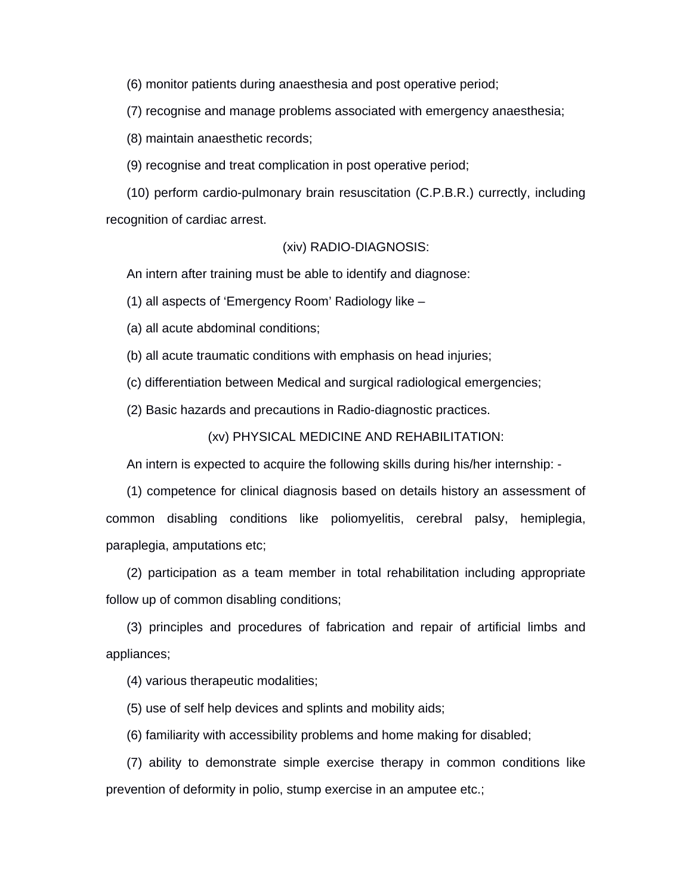(6) monitor patients during anaesthesia and post operative period;

(7) recognise and manage problems associated with emergency anaesthesia;

(8) maintain anaesthetic records;

(9) recognise and treat complication in post operative period;

(10) perform cardio-pulmonary brain resuscitation (C.P.B.R.) currectly, including recognition of cardiac arrest.

#### (xiv) RADIO-DIAGNOSIS:

An intern after training must be able to identify and diagnose:

(1) all aspects of 'Emergency Room' Radiology like –

(a) all acute abdominal conditions;

(b) all acute traumatic conditions with emphasis on head injuries;

(c) differentiation between Medical and surgical radiological emergencies;

(2) Basic hazards and precautions in Radio-diagnostic practices.

## (xv) PHYSICAL MEDICINE AND REHABILITATION:

An intern is expected to acquire the following skills during his/her internship: -

(1) competence for clinical diagnosis based on details history an assessment of common disabling conditions like poliomyelitis, cerebral palsy, hemiplegia, paraplegia, amputations etc;

(2) participation as a team member in total rehabilitation including appropriate follow up of common disabling conditions;

(3) principles and procedures of fabrication and repair of artificial limbs and appliances;

(4) various therapeutic modalities;

(5) use of self help devices and splints and mobility aids;

(6) familiarity with accessibility problems and home making for disabled;

(7) ability to demonstrate simple exercise therapy in common conditions like prevention of deformity in polio, stump exercise in an amputee etc.;